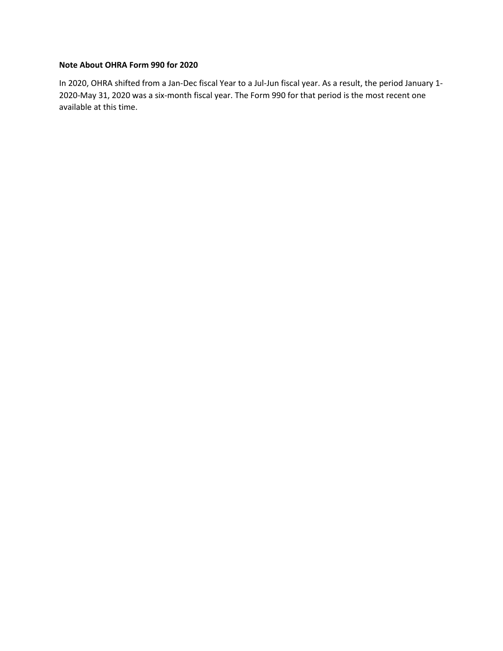#### **Note About OHRA Form 990 for 2020**

In 2020, OHRA shifted from a Jan-Dec fiscal Year to a Jul-Jun fiscal year. As a result, the period January 1- 2020-May 31, 2020 was a six-month fiscal year. The Form 990 for that period is the most recent one available at this time.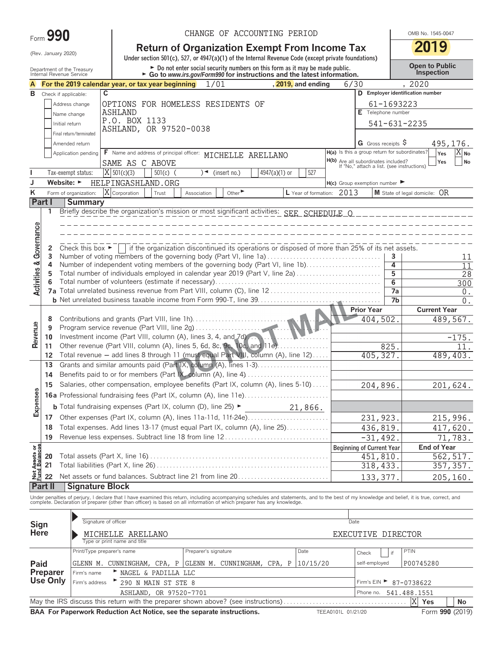|                                | Form $990$ |                                                        |                                                                                                                                                                                                                                                                                                                          | CHANGE OF ACCOUNTING PERIOD                |                                                                                                                                                                               |      |                                                     |                                                                                          | OMB No. 1545-0047                          |
|--------------------------------|------------|--------------------------------------------------------|--------------------------------------------------------------------------------------------------------------------------------------------------------------------------------------------------------------------------------------------------------------------------------------------------------------------------|--------------------------------------------|-------------------------------------------------------------------------------------------------------------------------------------------------------------------------------|------|-----------------------------------------------------|------------------------------------------------------------------------------------------|--------------------------------------------|
|                                |            | (Rev. January 2020)                                    |                                                                                                                                                                                                                                                                                                                          |                                            | <b>Return of Organization Exempt From Income Tax</b>                                                                                                                          |      |                                                     |                                                                                          | 2019                                       |
|                                |            |                                                        |                                                                                                                                                                                                                                                                                                                          |                                            | Under section $501(c)$ , 527, or $4947(a)(1)$ of the Internal Revenue Code (except private foundations)                                                                       |      |                                                     |                                                                                          |                                            |
|                                |            | Department of the Treasury<br>Internal Revenue Service |                                                                                                                                                                                                                                                                                                                          |                                            | Do not enter social security numbers on this form as it may be made public.<br>$\triangleright$ Go to <i>www.irs.gov/Form990</i> for instructions and the latest information. |      |                                                     |                                                                                          | <b>Open to Public</b><br><b>Inspection</b> |
|                                |            |                                                        | For the 2019 calendar year, or tax year beginning                                                                                                                                                                                                                                                                        | 1/01                                       | , 2019, and ending                                                                                                                                                            | 6/30 |                                                     | 2020<br>$\sim$                                                                           |                                            |
| в                              |            | C<br>Check if applicable:                              |                                                                                                                                                                                                                                                                                                                          |                                            |                                                                                                                                                                               |      |                                                     | D Employer identification number                                                         |                                            |
|                                |            | Address change                                         | OPTIONS FOR HOMELESS RESIDENTS OF                                                                                                                                                                                                                                                                                        |                                            |                                                                                                                                                                               |      | 61-1693223                                          |                                                                                          |                                            |
|                                |            | Name change                                            | ASHLAND                                                                                                                                                                                                                                                                                                                  |                                            |                                                                                                                                                                               |      | E Telephone number                                  |                                                                                          |                                            |
|                                |            | Initial return                                         | P.O. BOX 1133<br>ASHLAND, OR 97520-0038                                                                                                                                                                                                                                                                                  |                                            |                                                                                                                                                                               |      |                                                     | 541-631-2235                                                                             |                                            |
|                                |            | Final return/terminated                                |                                                                                                                                                                                                                                                                                                                          |                                            |                                                                                                                                                                               |      |                                                     |                                                                                          |                                            |
|                                |            | Amended return                                         |                                                                                                                                                                                                                                                                                                                          |                                            |                                                                                                                                                                               |      | G Gross receipts $\varsigma$                        |                                                                                          | 495,176.                                   |
|                                |            | Application pending                                    | F Name and address of principal officer: MICHELLE ARELLANO                                                                                                                                                                                                                                                               |                                            |                                                                                                                                                                               |      |                                                     | H(a) Is this a group return for subordinates?                                            | $ X _{\mathsf{No}}$<br>Yes                 |
|                                |            |                                                        | SAME AS C ABOVE                                                                                                                                                                                                                                                                                                          |                                            |                                                                                                                                                                               |      |                                                     | <b>H(b)</b> Are all subordinates included?<br>If "No," attach a list. (see instructions) | No<br>Yes                                  |
|                                |            | Tax-exempt status:                                     | $X$ 501(c)(3)<br>$501(c)$ (                                                                                                                                                                                                                                                                                              | $\sqrt{\bullet}$ (insert no.)              | 527<br>$4947(a)(1)$ or                                                                                                                                                        |      |                                                     |                                                                                          |                                            |
| J                              |            | Website: $\blacktriangleright$                         | HELPINGASHLAND.ORG                                                                                                                                                                                                                                                                                                       |                                            |                                                                                                                                                                               |      | $H(c)$ Group exemption number $\blacktriangleright$ |                                                                                          |                                            |
| Κ                              | Part I     | Form of organization:<br><b>Summary</b>                | X Corporation<br>Trust                                                                                                                                                                                                                                                                                                   | Association<br>Other $\blacktriangleright$ | L Year of formation: 2013                                                                                                                                                     |      |                                                     | <b>M</b> State of legal domicile: $OR$                                                   |                                            |
|                                | 1          |                                                        | Briefly describe the organization's mission or most significant activities: SEE_SCHEDULE_O ___________________                                                                                                                                                                                                           |                                            |                                                                                                                                                                               |      |                                                     |                                                                                          |                                            |
|                                |            |                                                        |                                                                                                                                                                                                                                                                                                                          |                                            |                                                                                                                                                                               |      |                                                     |                                                                                          |                                            |
|                                |            |                                                        |                                                                                                                                                                                                                                                                                                                          |                                            |                                                                                                                                                                               |      |                                                     |                                                                                          |                                            |
| Governance                     |            |                                                        |                                                                                                                                                                                                                                                                                                                          |                                            |                                                                                                                                                                               |      |                                                     |                                                                                          |                                            |
|                                | 2          | Check this box $\blacktriangleright$ $\blacksquare$    |                                                                                                                                                                                                                                                                                                                          |                                            | if the organization discontinued its operations or disposed of more than 25% of its net assets.                                                                               |      |                                                     |                                                                                          |                                            |
|                                | 3<br>4     |                                                        | Number of voting members of the governing body (Part VI, line 1a)<br>Number of independent voting members of the governing body (Part VI, line 1b)                                                                                                                                                                       |                                            |                                                                                                                                                                               |      |                                                     | 3<br>4                                                                                   | 11                                         |
|                                | 5          |                                                        | Total number of individuals employed in calendar year 2019 (Part V, line 2a)                                                                                                                                                                                                                                             |                                            |                                                                                                                                                                               |      | 5                                                   |                                                                                          | 11<br>$\overline{28}$                      |
| <b>Activities &amp;</b>        |            |                                                        |                                                                                                                                                                                                                                                                                                                          |                                            |                                                                                                                                                                               |      | $\overline{6}$                                      |                                                                                          | 300                                        |
|                                |            |                                                        |                                                                                                                                                                                                                                                                                                                          |                                            |                                                                                                                                                                               |      |                                                     | 7a                                                                                       | 0.                                         |
|                                |            |                                                        |                                                                                                                                                                                                                                                                                                                          |                                            |                                                                                                                                                                               |      |                                                     | 7 <sub>b</sub>                                                                           | 0.                                         |
|                                |            |                                                        |                                                                                                                                                                                                                                                                                                                          |                                            |                                                                                                                                                                               |      | <b>Prior Year</b>                                   |                                                                                          | <b>Current Year</b>                        |
|                                | 8          |                                                        | Contributions and grants (Part VIII, line 1h)                                                                                                                                                                                                                                                                            |                                            |                                                                                                                                                                               |      | 404,502.                                            |                                                                                          | 489,567.                                   |
| Revenue                        | 9<br>10    |                                                        | Investment income (Part VIII, column (A), lines 3, 4, and 7d)                                                                                                                                                                                                                                                            |                                            |                                                                                                                                                                               |      |                                                     |                                                                                          | $-175.$                                    |
|                                | 11         |                                                        | Other revenue (Part VIII, column (A), lines 5, 6d, 8c, 9c, 10c, and 11e)                                                                                                                                                                                                                                                 |                                            |                                                                                                                                                                               |      | 825.                                                |                                                                                          | 11.                                        |
|                                | 12         |                                                        | Total revenue - add lines 8 through 11 (must equal Part VIII, column (A), line 12)                                                                                                                                                                                                                                       |                                            |                                                                                                                                                                               |      | 327.<br>405.                                        |                                                                                          | 489,403.                                   |
|                                | 13         |                                                        |                                                                                                                                                                                                                                                                                                                          |                                            |                                                                                                                                                                               |      |                                                     |                                                                                          |                                            |
|                                | 14         |                                                        |                                                                                                                                                                                                                                                                                                                          |                                            |                                                                                                                                                                               |      |                                                     |                                                                                          |                                            |
|                                | 15         |                                                        | Salaries, other compensation, employee benefits (Part IX, column (A), lines 5-10)                                                                                                                                                                                                                                        |                                            |                                                                                                                                                                               |      | 204,896                                             |                                                                                          | 201,624                                    |
|                                |            |                                                        |                                                                                                                                                                                                                                                                                                                          |                                            |                                                                                                                                                                               |      |                                                     |                                                                                          |                                            |
| Expenses                       |            |                                                        | <b>b</b> Total fundraising expenses (Part IX, column (D), line 25) $\blacktriangleright$                                                                                                                                                                                                                                 |                                            | 21,866.                                                                                                                                                                       |      |                                                     |                                                                                          |                                            |
|                                | 17         |                                                        | Other expenses (Part IX, column (A), lines 11a-11d, 11f-24e)                                                                                                                                                                                                                                                             |                                            |                                                                                                                                                                               |      | 231,923.                                            |                                                                                          | 215,996.                                   |
|                                | 18         |                                                        | Total expenses. Add lines 13-17 (must equal Part IX, column (A), line 25)                                                                                                                                                                                                                                                |                                            |                                                                                                                                                                               |      | 436,819.                                            |                                                                                          | 417,620.                                   |
|                                | 19         |                                                        | Revenue less expenses. Subtract line 18 from line 12                                                                                                                                                                                                                                                                     |                                            |                                                                                                                                                                               |      | $-31,492.$                                          |                                                                                          | 71,783.                                    |
|                                |            |                                                        |                                                                                                                                                                                                                                                                                                                          |                                            |                                                                                                                                                                               |      | <b>Beginning of Current Year</b>                    |                                                                                          | <b>End of Year</b>                         |
| Net Assets or<br>Fund Balances | 20         |                                                        |                                                                                                                                                                                                                                                                                                                          |                                            |                                                                                                                                                                               |      | 451,810.                                            |                                                                                          | 562, 517.                                  |
|                                | 21         |                                                        |                                                                                                                                                                                                                                                                                                                          |                                            |                                                                                                                                                                               |      | 318,433.                                            |                                                                                          | 357, 357.                                  |
|                                | 22         |                                                        |                                                                                                                                                                                                                                                                                                                          |                                            |                                                                                                                                                                               |      | 133, 377.                                           |                                                                                          | 205,160.                                   |
|                                | Part II    | <b>Signature Block</b>                                 |                                                                                                                                                                                                                                                                                                                          |                                            |                                                                                                                                                                               |      |                                                     |                                                                                          |                                            |
|                                |            |                                                        | Under penalties of perjury, I declare that I have examined this return, including accompanying schedules and statements, and to the best of my knowledge and belief, it is true, correct, and<br>complete. Declaration of preparer (other than officer) is based on all information of which preparer has any knowledge. |                                            |                                                                                                                                                                               |      |                                                     |                                                                                          |                                            |
|                                |            |                                                        |                                                                                                                                                                                                                                                                                                                          |                                            |                                                                                                                                                                               |      |                                                     |                                                                                          |                                            |
| Sign                           |            | Signature of officer                                   |                                                                                                                                                                                                                                                                                                                          |                                            |                                                                                                                                                                               | Date |                                                     |                                                                                          |                                            |
| Here                           |            |                                                        | MICHELLE ARELLANO                                                                                                                                                                                                                                                                                                        |                                            |                                                                                                                                                                               |      | EXECUTIVE DIRECTOR                                  |                                                                                          |                                            |
|                                |            |                                                        | Type or print name and title                                                                                                                                                                                                                                                                                             |                                            |                                                                                                                                                                               |      |                                                     |                                                                                          |                                            |

|                                                                                                                 | $\frac{1}{2}$                                                        |                         |                                        |                        |  |  |  |  |
|-----------------------------------------------------------------------------------------------------------------|----------------------------------------------------------------------|-------------------------|----------------------------------------|------------------------|--|--|--|--|
|                                                                                                                 | Print/Type preparer's name                                           | $\overline{a}$<br>Check | <b>PTIN</b>                            |                        |  |  |  |  |
| Paid                                                                                                            | GLENN M. CUNNINGHAM, CPA, P   GLENN M. CUNNINGHAM, CPA, P   10/15/20 |                         | P00745280<br>self-employed             |                        |  |  |  |  |
| Preparer<br>Use Only                                                                                            | NAGEL & PADILLA LLC<br>Firm's name                                   |                         |                                        |                        |  |  |  |  |
|                                                                                                                 | Firm's address > 290 N MAIN ST STE 8                                 |                         | Firm's EIN $\triangleright$ 87-0738622 |                        |  |  |  |  |
|                                                                                                                 | ASHLAND, OR 97520-7701                                               |                         |                                        | Phone no. 541.488.1551 |  |  |  |  |
| ΙXΙ<br>No<br>Yes                                                                                                |                                                                      |                         |                                        |                        |  |  |  |  |
| BAA For Paperwork Reduction Act Notice, see the separate instructions.<br>Form 990 (2019)<br>TEEA0101L 01/21/20 |                                                                      |                         |                                        |                        |  |  |  |  |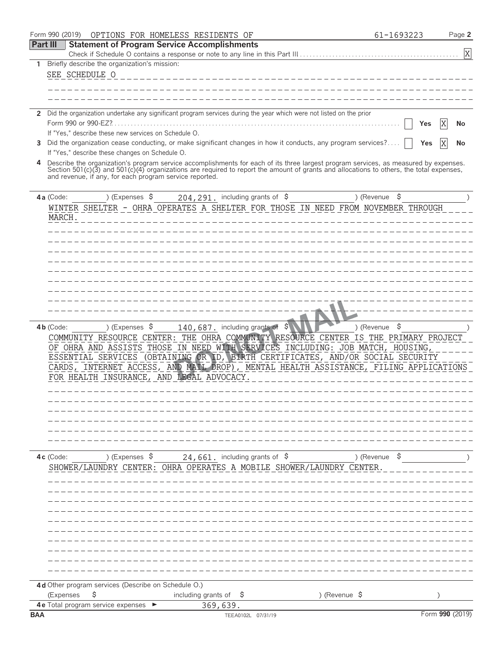|                 | Form 990 (2019)<br>OPTIONS FOR HOMELESS RESIDENTS OF                                                                                                                                                                                                                                                                                        | 61-1693223                | Page 2          |
|-----------------|---------------------------------------------------------------------------------------------------------------------------------------------------------------------------------------------------------------------------------------------------------------------------------------------------------------------------------------------|---------------------------|-----------------|
| <b>Part III</b> | <b>Statement of Program Service Accomplishments</b>                                                                                                                                                                                                                                                                                         |                           |                 |
|                 |                                                                                                                                                                                                                                                                                                                                             |                           | X               |
| 1.              | Briefly describe the organization's mission:                                                                                                                                                                                                                                                                                                |                           |                 |
|                 | SEE SCHEDULE O                                                                                                                                                                                                                                                                                                                              |                           |                 |
|                 |                                                                                                                                                                                                                                                                                                                                             |                           |                 |
|                 |                                                                                                                                                                                                                                                                                                                                             |                           |                 |
|                 |                                                                                                                                                                                                                                                                                                                                             |                           |                 |
| 2               | Did the organization undertake any significant program services during the year which were not listed on the prior                                                                                                                                                                                                                          |                           |                 |
|                 | Form 990 or 990-EZ?                                                                                                                                                                                                                                                                                                                         |                           | No<br>Yes       |
|                 | If "Yes," describe these new services on Schedule O.                                                                                                                                                                                                                                                                                        |                           |                 |
| 3               | Did the organization cease conducting, or make significant changes in how it conducts, any program services?                                                                                                                                                                                                                                |                           | X<br>Yes<br>No  |
|                 | If "Yes," describe these changes on Schedule O.                                                                                                                                                                                                                                                                                             |                           |                 |
| 4               | Describe the organization's program service accomplishments for each of its three largest program services, as measured by expenses.<br>Section 501(c)(3) and 501(c)(4) organizations are required to report the amount of grants and allocations to others, the total expenses,<br>and revenue, if any, for each program service reported. |                           |                 |
|                 |                                                                                                                                                                                                                                                                                                                                             |                           |                 |
|                 | 204, 291. including grants of \$<br>) (Expenses $\sqrt{5}$<br>$4a$ (Code:                                                                                                                                                                                                                                                                   | $($ Revenue $\frac{1}{2}$ |                 |
|                 | WINTER SHELTER - OHRA OPERATES A SHELTER FOR THOSE IN NEED FROM NOVEMBER THROUGH                                                                                                                                                                                                                                                            |                           |                 |
|                 | MARCH.                                                                                                                                                                                                                                                                                                                                      |                           |                 |
|                 |                                                                                                                                                                                                                                                                                                                                             |                           |                 |
|                 |                                                                                                                                                                                                                                                                                                                                             |                           |                 |
|                 |                                                                                                                                                                                                                                                                                                                                             |                           |                 |
|                 |                                                                                                                                                                                                                                                                                                                                             |                           |                 |
|                 |                                                                                                                                                                                                                                                                                                                                             |                           |                 |
|                 |                                                                                                                                                                                                                                                                                                                                             |                           |                 |
|                 |                                                                                                                                                                                                                                                                                                                                             |                           |                 |
|                 |                                                                                                                                                                                                                                                                                                                                             |                           |                 |
|                 |                                                                                                                                                                                                                                                                                                                                             |                           |                 |
|                 |                                                                                                                                                                                                                                                                                                                                             |                           |                 |
|                 | 140, 687. including grants of $\vert$ \$<br>) (Expenses \$<br>$4b$ (Code:                                                                                                                                                                                                                                                                   | \$<br>) (Revenue          |                 |
|                 | COMMUNITY RESOURCE CENTER: THE OHRA COMMUNITY RESOURCE CENTER IS THE PRIMARY PROJECT                                                                                                                                                                                                                                                        |                           |                 |
|                 | OF OHRA AND ASSISTS THOSE IN NEED WITH SERVICES INCLUDING: JOB MATCH, HOUSING,<br>ESSENTIAL SERVICES (OBTAINING OR ID, BIRTH CERTIFICATES, AND/OR SOCIAL SECURITY                                                                                                                                                                           |                           |                 |
|                 | CARDS, INTERNET ACCESS, AND MAIL DROP), MENTAL HEALTH ASSISTANCE, FILING APPLICATIONS                                                                                                                                                                                                                                                       |                           |                 |
|                 | FOR HEALTH INSURANCE, AND LEGAL ADVOCACY.                                                                                                                                                                                                                                                                                                   |                           |                 |
|                 |                                                                                                                                                                                                                                                                                                                                             |                           |                 |
|                 |                                                                                                                                                                                                                                                                                                                                             |                           |                 |
|                 |                                                                                                                                                                                                                                                                                                                                             |                           |                 |
|                 |                                                                                                                                                                                                                                                                                                                                             |                           |                 |
|                 |                                                                                                                                                                                                                                                                                                                                             |                           |                 |
|                 |                                                                                                                                                                                                                                                                                                                                             |                           |                 |
|                 |                                                                                                                                                                                                                                                                                                                                             |                           |                 |
|                 |                                                                                                                                                                                                                                                                                                                                             |                           |                 |
|                 | 24,661. including grants of \$<br>) (Expenses $$$<br>$4c$ (Code:                                                                                                                                                                                                                                                                            | ) (Revenue $\frac{1}{2}$  |                 |
|                 | SHOWER/LAUNDRY CENTER: OHRA OPERATES A MOBILE SHOWER/LAUNDRY CENTER.                                                                                                                                                                                                                                                                        |                           |                 |
|                 |                                                                                                                                                                                                                                                                                                                                             |                           |                 |
|                 |                                                                                                                                                                                                                                                                                                                                             |                           |                 |
|                 |                                                                                                                                                                                                                                                                                                                                             |                           |                 |
|                 |                                                                                                                                                                                                                                                                                                                                             |                           |                 |
|                 |                                                                                                                                                                                                                                                                                                                                             |                           |                 |
|                 |                                                                                                                                                                                                                                                                                                                                             |                           |                 |
|                 |                                                                                                                                                                                                                                                                                                                                             |                           |                 |
|                 |                                                                                                                                                                                                                                                                                                                                             |                           |                 |
|                 |                                                                                                                                                                                                                                                                                                                                             |                           |                 |
|                 |                                                                                                                                                                                                                                                                                                                                             |                           |                 |
|                 |                                                                                                                                                                                                                                                                                                                                             |                           |                 |
|                 | 4d Other program services (Describe on Schedule O.)<br>\$                                                                                                                                                                                                                                                                                   |                           |                 |
|                 | including grants of<br>(Expenses<br>-\$<br>) (Revenue $\sqrt{5}$                                                                                                                                                                                                                                                                            |                           |                 |
| <b>BAA</b>      | <b>4e</b> Total program service expenses<br>369,639.<br>TEEA0102L 07/31/19                                                                                                                                                                                                                                                                  |                           | Form 990 (2019) |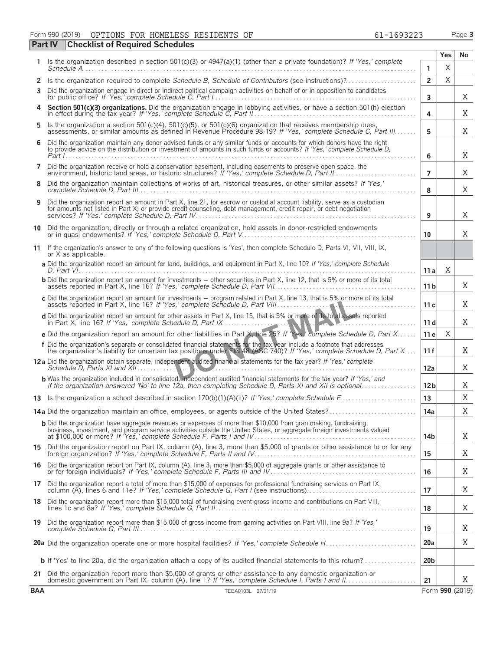Form 990 (2019) OPTIONS FOR HOMELESS RESIDENTS OF 61-1693223 Page **3** 

|                | Part IV<br><b>Checklist of Required Schedules</b>                                                                                                                                                                                                   |                 |             |                 |
|----------------|-----------------------------------------------------------------------------------------------------------------------------------------------------------------------------------------------------------------------------------------------------|-----------------|-------------|-----------------|
| 1.             | Is the organization described in section 501(c)(3) or 4947(a)(1) (other than a private foundation)? If 'Yes,' complete                                                                                                                              |                 | <b>Yes</b>  | No              |
|                |                                                                                                                                                                                                                                                     | 1               | Χ           |                 |
| 2<br>3         | Did the organization engage in direct or indirect political campaign activities on behalf of or in opposition to candidates                                                                                                                         | $\overline{2}$  | X           |                 |
|                |                                                                                                                                                                                                                                                     | 3               |             | Χ               |
| 4              | Section 501(c)(3) organizations. Did the organization engage in lobbying activities, or have a section 501(h) election in effect during the tax year? If 'Yes,' complete Schedule C, Part II.                                                       | 4               |             | X               |
| 5              | Is the organization a section $501(c)(4)$ , $501(c)(5)$ , or $501(c)(6)$ organization that receives membership dues,<br>assessments, or similar amounts as defined in Revenue Procedure 98-19? If 'Yes,' complete Schedule C, Part III              | 5               |             | X               |
| 6              | Did the organization maintain any donor advised funds or any similar funds or accounts for which donors have the right<br>to provide advice on the distribution or investment of amounts in such funds or accounts? If 'Yes,' complete Schedule D,  | 6               |             | X               |
| $\overline{ }$ | Did the organization receive or hold a conservation easement, including easements to preserve open space, the<br>environment, historic land areas, or historic structures? If 'Yes,' complete Schedule D, Part II.                                  | $\overline{7}$  |             | X               |
| 8              | Did the organization maintain collections of works of art, historical treasures, or other similar assets? If 'Yes,'                                                                                                                                 | 8               |             | Χ               |
| 9              | Did the organization report an amount in Part X, line 21, for escrow or custodial account liability, serve as a custodian<br>for amounts not listed in Part X; or provide credit counseling, debt management, credit repair, or debt negotiation    | 9               |             | X               |
|                | 10 Did the organization, directly or through a related organization, hold assets in donor-restricted endowments                                                                                                                                     | 10              |             | X               |
|                | 11 If the organization's answer to any of the following questions is 'Yes', then complete Schedule D, Parts VI, VII, VIII, IX,<br>or X as applicable.                                                                                               |                 |             |                 |
|                | a Did the organization report an amount for land, buildings, and equipment in Part X, line 10? If 'Yes,' complete Schedule                                                                                                                          | 11 a            | Χ           |                 |
|                | <b>b</b> Did the organization report an amount for investments – other securities in Part X, line 12, that is 5% or more of its total                                                                                                               | 11 <sub>b</sub> |             | Χ               |
|                | c Did the organization report an amount for investments - program related in Part X, line 13, that is 5% or more of its total                                                                                                                       | 11 c            |             | Χ               |
|                | d Did the organization report an amount for other assets in Part X, line 15, that is 5% or more of its total assets reported                                                                                                                        | 11 <sub>d</sub> |             | Χ               |
|                | e Did the organization report an amount for other liabilities in Part X, line 25? If 'Yes,' complete Schedule D, Part X                                                                                                                             | 11 e            | $\mathbf X$ |                 |
|                | f Did the organization's separate or consolidated financial statements for the tax year include a footnote that addresses<br>the organization's liability for uncertain tax positions under FIN 48 (ASC 740)? If 'Yes,' complete Schedule D, Part X | 11f             |             | X               |
|                | 12 a Did the organization obtain separate, independent audited financial statements for the tax year? If 'Yes,' complete                                                                                                                            | 12a             |             | Χ               |
|                | <b>b</b> Was the organization included in consolidated, independent audited financial statements for the tax year? If 'Yes,' and                                                                                                                    | 12 <sub>b</sub> |             | Χ               |
|                |                                                                                                                                                                                                                                                     | 13              |             | X               |
|                |                                                                                                                                                                                                                                                     | 14a             |             | Χ               |
|                | <b>b</b> Did the organization have aggregate revenues or expenses of more than \$10,000 from grantmaking, fundraising,<br>business, investment, and program service activities outside the United States, or aggregate foreign investments valued   | 14b             |             | Χ               |
|                | 15 Did the organization report on Part IX, column (A), line 3, more than \$5,000 of grants or other assistance to or for any                                                                                                                        | 15              |             | Χ               |
|                | 16 Did the organization report on Part IX, column (A), line 3, more than \$5,000 of aggregate grants or other assistance to                                                                                                                         | 16              |             | X               |
|                | 17 Did the organization report a total of more than \$15,000 of expenses for professional fundraising services on Part IX,<br>column (A), lines 6 and 11e? If 'Yes,' complete Schedule G, Part I (see instructions)                                 | 17              |             | X               |
|                | 18 Did the organization report more than \$15,000 total of fundraising event gross income and contributions on Part VIII,                                                                                                                           | 18              |             | Χ               |
|                | 19 Did the organization report more than \$15,000 of gross income from gaming activities on Part VIII, line 9a? If 'Yes,'                                                                                                                           | 19              |             | Χ               |
|                |                                                                                                                                                                                                                                                     | <b>20a</b>      |             | X               |
|                |                                                                                                                                                                                                                                                     | 20 <sub>b</sub> |             |                 |
| 21             | Did the organization report more than \$5,000 of grants or other assistance to any domestic organization or                                                                                                                                         | 21              |             | X               |
| <b>BAA</b>     | TEEA0103L 07/31/19                                                                                                                                                                                                                                  |                 |             | Form 990 (2019) |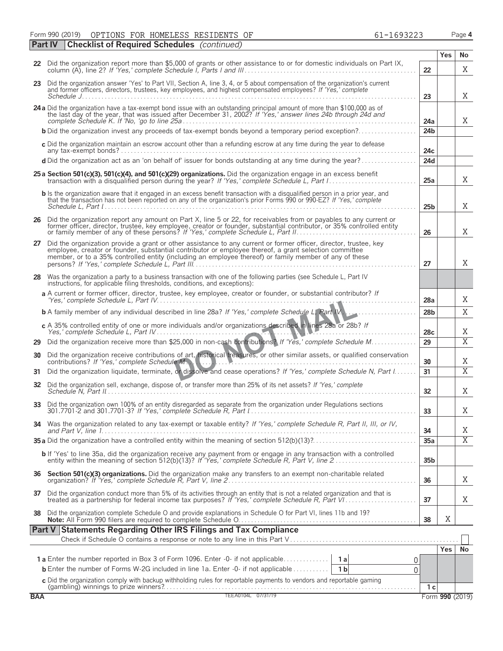Form 990 (2019) OPTIONS FOR HOMELESS RESIDENTS OF 61-1693223 Page **4** OPTIONS FOR HOMELESS RESIDENTS OF  $61-1693223$ 

|            | <b>Checklist of Required Schedules</b> (continued)<br>Part IV                                                                                                                                                                                                                                                                            |                 |            |                 |
|------------|------------------------------------------------------------------------------------------------------------------------------------------------------------------------------------------------------------------------------------------------------------------------------------------------------------------------------------------|-----------------|------------|-----------------|
|            | 22 Did the organization report more than \$5,000 of grants or other assistance to or for domestic individuals on Part IX,                                                                                                                                                                                                                | 22              | <b>Yes</b> | No<br>X         |
|            | 23 Did the organization answer 'Yes' to Part VII, Section A, line 3, 4, or 5 about compensation of the organization's current                                                                                                                                                                                                            |                 |            |                 |
|            | and former officers, directors, trustees, key employees, and highest compensated employees? If 'Yes,' complete                                                                                                                                                                                                                           | 23              |            | X               |
|            | 24 a Did the organization have a tax-exempt bond issue with an outstanding principal amount of more than \$100,000 as of the last day of the year, that was issued after December 31, 2002? If 'Yes,' answer lines 24b through                                                                                                           | 24a             |            | X               |
|            | <b>b</b> Did the organization invest any proceeds of tax-exempt bonds beyond a temporary period exception?                                                                                                                                                                                                                               | 24 <sub>b</sub> |            |                 |
|            | c Did the organization maintain an escrow account other than a refunding escrow at any time during the year to defease                                                                                                                                                                                                                   | 24 <sub>c</sub> |            |                 |
|            | d Did the organization act as an 'on behalf of' issuer for bonds outstanding at any time during the year?                                                                                                                                                                                                                                | 24d             |            |                 |
|            | 25 a Section 501(c)(3), 501(c)(4), and 501(c)(29) organizations. Did the organization engage in an excess benefit                                                                                                                                                                                                                        | 25a             |            | X               |
|            | <b>b</b> Is the organization aware that it engaged in an excess benefit transaction with a disqualified person in a prior year, and<br>that the transaction has not been reported on any of the organization's prior Forms 990 or 990-EZ? If 'Yes,' complete                                                                             | 25 <sub>b</sub> |            | X               |
|            | 26 Did the organization report any amount on Part X, line 5 or 22, for receivables from or payables to any current or former officer, director, trustee, key employee, creator or founder, substantial contributor, or 35% con                                                                                                           | 26              |            | X               |
|            | 27 Did the organization provide a grant or other assistance to any current or former officer, director, trustee, key<br>employee, creator or founder, substantial contributor or employee thereof, a grant selection committee<br>member, or to a 35% controlled entity (including an employee thereof) or family member of any of these | 27              |            | Χ               |
| 28         | Was the organization a party to a business transaction with one of the following parties (see Schedule L, Part IV<br>instructions, for applicable filing thresholds, conditions, and exceptions):                                                                                                                                        |                 |            |                 |
|            | a A current or former officer, director, trustee, key employee, creator or founder, or substantial contributor? If                                                                                                                                                                                                                       | 28a             |            | Χ               |
|            | <b>b</b> A family member of any individual described in line 28a? If 'Yes,' complete Schedule L, Part IV.                                                                                                                                                                                                                                | 28 <sub>b</sub> |            | X               |
|            | c A 35% controlled entity of one or more individuals and/or organizations described in lines 28a or 28b? If                                                                                                                                                                                                                              | 28c             |            | Χ               |
| 29         | Did the organization receive more than \$25,000 in non-cash contributions? If 'Yes,' complete Schedule M                                                                                                                                                                                                                                 | 29              |            | $\overline{X}$  |
| 30         | Did the organization receive contributions of art, historical treasures, or other similar assets, or qualified conservation                                                                                                                                                                                                              | 30              |            | Χ               |
| 31         | Did the organization liquidate, terminate, or dissolve and cease operations? If 'Yes,' complete Schedule N, Part I                                                                                                                                                                                                                       | 31              |            | $\overline{X}$  |
| 32         | Did the organization sell, exchange, dispose of, or transfer more than 25% of its net assets? If 'Yes,' complete                                                                                                                                                                                                                         | 32              |            | X               |
| 33         | Did the organization own 100% of an entity disregarded as separate from the organization under Regulations sections                                                                                                                                                                                                                      | 33              |            | Χ               |
|            | 34 Was the organization related to any tax-exempt or taxable entity? If 'Yes,' complete Schedule R, Part II, III, or IV,                                                                                                                                                                                                                 | 34              |            | Χ               |
|            |                                                                                                                                                                                                                                                                                                                                          | 35a             |            | $\overline{X}$  |
|            | b If 'Yes' to line 35a, did the organization receive any payment from or engage in any transaction with a controlled<br>entity within the meaning of section 512(b)(13)? If 'Yes,' complete Schedule R, Part V, line 2                                                                                                                   | 35 <sub>b</sub> |            |                 |
|            |                                                                                                                                                                                                                                                                                                                                          | 36              |            | Χ               |
|            | 37 Did the organization conduct more than 5% of its activities through an entity that is not a related organization and that is treated as a partnership for federal income tax purposes? If 'Yes,' complete Schedule R, Part                                                                                                            | 37              |            | Χ               |
|            | 38 Did the organization complete Schedule O and provide explanations in Schedule O for Part VI, lines 11b and 19?                                                                                                                                                                                                                        | 38              | X          |                 |
|            | Part V Statements Regarding Other IRS Filings and Tax Compliance                                                                                                                                                                                                                                                                         |                 |            |                 |
|            |                                                                                                                                                                                                                                                                                                                                          |                 |            |                 |
|            |                                                                                                                                                                                                                                                                                                                                          |                 | Yes        | No              |
|            | 0<br><b>b</b> Enter the number of Forms W-2G included in line 1a. Enter -0- if not applicable<br>1 <sub>b</sub><br>0                                                                                                                                                                                                                     |                 |            |                 |
|            |                                                                                                                                                                                                                                                                                                                                          |                 |            |                 |
|            | C Did the organization comply with backup withholding rules for reportable payments to vendors and reportable gaming<br>(gambling) winnings to prize winners?<br>TEEA0104L 07/31/19                                                                                                                                                      | 1 <sub>c</sub>  |            |                 |
| <b>BAA</b> |                                                                                                                                                                                                                                                                                                                                          |                 |            | Form 990 (2019) |

|  |  | ็นววว |  |
|--|--|-------|--|
|  |  |       |  |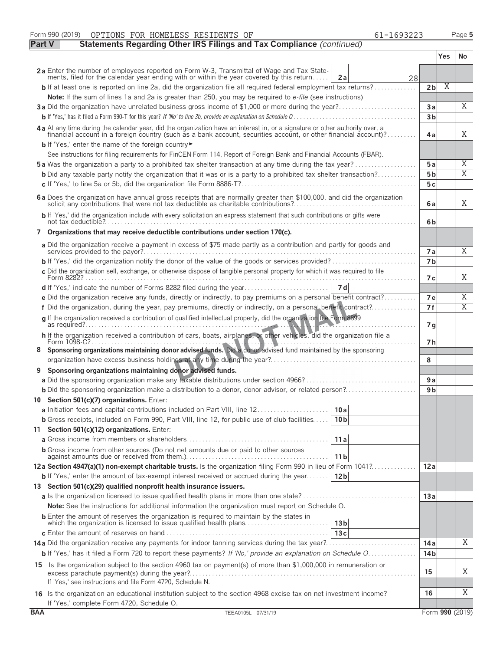|               | Form 990 (2019)<br>OPTIONS FOR HOMELESS RESIDENTS OF<br>61-1693223                                                                                                                                                                               |                 |                         | Page 5                  |
|---------------|--------------------------------------------------------------------------------------------------------------------------------------------------------------------------------------------------------------------------------------------------|-----------------|-------------------------|-------------------------|
| <b>Part V</b> | Statements Regarding Other IRS Filings and Tax Compliance (continued)                                                                                                                                                                            |                 |                         |                         |
|               |                                                                                                                                                                                                                                                  |                 | Yes                     | No.                     |
|               | 2a Enter the number of employees reported on Form W-3, Transmittal of Wage and Tax State-<br>ments, filed for the calendar year ending with or within the year covered by this return<br>2a<br>28                                                |                 |                         |                         |
|               | <b>b</b> If at least one is reported on line 2a, did the organization file all required federal employment tax returns?                                                                                                                          | 2 <sub>b</sub>  | $\overline{\mathrm{X}}$ |                         |
|               | Note: If the sum of lines 1a and 2a is greater than 250, you may be required to e-file (see instructions)                                                                                                                                        |                 |                         |                         |
|               |                                                                                                                                                                                                                                                  | Зa              |                         | X                       |
|               |                                                                                                                                                                                                                                                  | 3 <sub>b</sub>  |                         |                         |
|               | 4a At any time during the calendar year, did the organization have an interest in, or a signature or other authority over, a<br>financial account in a foreign country (such as a bank account, securities account, or other financial account)? | 4a              |                         | X                       |
|               | b If 'Yes,' enter the name of the foreign country                                                                                                                                                                                                |                 |                         |                         |
|               | See instructions for filing requirements for FinCEN Form 114, Report of Foreign Bank and Financial Accounts (FBAR).                                                                                                                              |                 |                         |                         |
|               | <b>5a</b> Was the organization a party to a prohibited tax shelter transaction at any time during the tax year?                                                                                                                                  | 5a              |                         | Χ<br>$\overline{X}$     |
|               | <b>b</b> Did any taxable party notify the organization that it was or is a party to a prohibited tax shelter transaction?                                                                                                                        | 5 <sub>b</sub>  |                         |                         |
|               |                                                                                                                                                                                                                                                  | 5c              |                         |                         |
|               | 6 a Does the organization have annual gross receipts that are normally greater than \$100,000, and did the organization solicit any contributions that were not tax deductible as charitable contributions?                                      | 6a              |                         | X                       |
|               | b If 'Yes,' did the organization include with every solicitation an express statement that such contributions or gifts were                                                                                                                      | 6b              |                         |                         |
|               | 7 Organizations that may receive deductible contributions under section 170(c).                                                                                                                                                                  |                 |                         |                         |
|               | a Did the organization receive a payment in excess of \$75 made partly as a contribution and partly for goods and                                                                                                                                | 7a              |                         | X                       |
|               |                                                                                                                                                                                                                                                  | 7 <sub>b</sub>  |                         |                         |
|               | c Did the organization sell, exchange, or otherwise dispose of tangible personal property for which it was required to file                                                                                                                      | 7 с             |                         | X                       |
|               |                                                                                                                                                                                                                                                  |                 |                         |                         |
|               | e Did the organization receive any funds, directly or indirectly, to pay premiums on a personal benefit contract?                                                                                                                                | 7e              |                         | Χ                       |
|               | f Did the organization, during the year, pay premiums, directly or indirectly, on a personal benefit contract?                                                                                                                                   | 7f              |                         | $\overline{\mathrm{X}}$ |
|               | q If the organization received a contribution of qualified intellectual property, did the organization file Form 8899                                                                                                                            | 7 g             |                         |                         |
|               | h If the organization received a contribution of cars, boats, airplanes, or other vehicles, did the organization file a                                                                                                                          | 7 <sub>h</sub>  |                         |                         |
|               | 8 Sponsoring organizations maintaining donor advised funds. Did a donor advised fund maintained by the sponsoring                                                                                                                                |                 |                         |                         |
|               |                                                                                                                                                                                                                                                  | 8               |                         |                         |
| 9             | Sponsoring organizations maintaining donor advised funds.                                                                                                                                                                                        |                 |                         |                         |
|               |                                                                                                                                                                                                                                                  | 9a              |                         |                         |
|               |                                                                                                                                                                                                                                                  | 9 <sub>b</sub>  |                         |                         |
|               | 10 Section 501(c)(7) organizations. Enter:                                                                                                                                                                                                       |                 |                         |                         |
|               | a Initiation fees and capital contributions included on Part VIII, line 12<br>10a                                                                                                                                                                |                 |                         |                         |
|               | <b>b</b> Gross receipts, included on Form 990, Part VIII, line 12, for public use of club facilities<br>10 <sub>b</sub><br>11 Section 501(c)(12) organizations. Enter:                                                                           |                 |                         |                         |
|               | 11a                                                                                                                                                                                                                                              |                 |                         |                         |
|               | <b>b</b> Gross income from other sources (Do not net amounts due or paid to other sources                                                                                                                                                        |                 |                         |                         |
|               | 11 <sub>b</sub>                                                                                                                                                                                                                                  |                 |                         |                         |
|               | 12a Section 4947(a)(1) non-exempt charitable trusts. Is the organization filing Form 990 in lieu of Form 1041?                                                                                                                                   | 12a             |                         |                         |
|               | <b>b</b> If 'Yes,' enter the amount of tax-exempt interest received or accrued during the year<br>12 <sub>b</sub>                                                                                                                                |                 |                         |                         |
|               | 13 Section 501(c)(29) qualified nonprofit health insurance issuers.                                                                                                                                                                              |                 |                         |                         |
|               |                                                                                                                                                                                                                                                  | 13a             |                         |                         |
|               | <b>Note:</b> See the instructions for additional information the organization must report on Schedule O.                                                                                                                                         |                 |                         |                         |
|               | <b>b</b> Enter the amount of reserves the organization is required to maintain by the states in<br>which the organization is licensed to issue qualified health plans<br>13 <sub>b</sub>                                                         |                 |                         |                         |
|               | 13c                                                                                                                                                                                                                                              |                 |                         | Χ                       |
|               |                                                                                                                                                                                                                                                  | 14 a            |                         |                         |
|               | <b>b</b> If 'Yes,' has it filed a Form 720 to report these payments? If 'No,' provide an explanation on Schedule O                                                                                                                               | 14 <sub>b</sub> |                         |                         |
|               | 15 Is the organization subject to the section 4960 tax on payment(s) of more than \$1,000,000 in remuneration or                                                                                                                                 | 15              |                         | Χ                       |
|               | If 'Yes,' see instructions and file Form 4720, Schedule N.                                                                                                                                                                                       |                 |                         |                         |
|               | 16 Is the organization an educational institution subject to the section 4968 excise tax on net investment income?<br>If 'Yes,' complete Form 4720, Schedule O.                                                                                  | 16              |                         | Χ                       |
| <b>BAA</b>    | TEEA0105L 07/31/19                                                                                                                                                                                                                               |                 |                         | Form 990 (2019)         |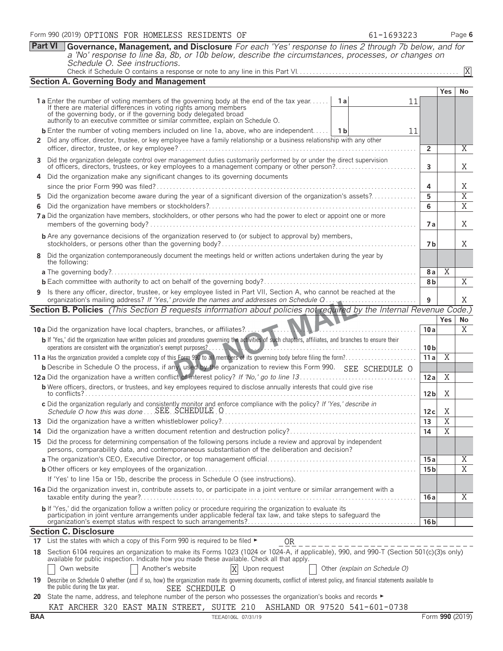**Part VI Governance, Management, and Disclosure** *For each 'Yes' response to lines 2 through 7b below, and for a 'No' response to line 8a, 8b, or 10b below, describe the circumstances, processes, or changes on Schedule O. See instructions.* Check if Schedule O contains a response or note to any line in this Part VI. . . . . . . . . . . . . . . . . . . . . . . . . . . . . . . . . . . . . . . . . . . . . . . . . . X

|                                                                                                                         | <b>Section A. Governing Body and Management</b>                                                                                                                                                                                                                                                                                      |                      |                       |                                  |  |  |  |  |  |
|-------------------------------------------------------------------------------------------------------------------------|--------------------------------------------------------------------------------------------------------------------------------------------------------------------------------------------------------------------------------------------------------------------------------------------------------------------------------------|----------------------|-----------------------|----------------------------------|--|--|--|--|--|
|                                                                                                                         |                                                                                                                                                                                                                                                                                                                                      |                      | Yes                   | No                               |  |  |  |  |  |
|                                                                                                                         | <b>1a</b> Enter the number of voting members of the governing body at the end of the tax year<br>1a<br>11<br>If there are material differences in voting rights among members<br>of the governing body, or if the governing body delegated broad<br>authority to an executive committee or similar committee, explain on Schedule O. |                      |                       |                                  |  |  |  |  |  |
|                                                                                                                         |                                                                                                                                                                                                                                                                                                                                      |                      |                       |                                  |  |  |  |  |  |
|                                                                                                                         | <b>b</b> Enter the number of voting members included on line 1a, above, who are independent 1 1b<br>11                                                                                                                                                                                                                               |                      |                       |                                  |  |  |  |  |  |
|                                                                                                                         | 2 Did any officer, director, trustee, or key employee have a family relationship or a business relationship with any other                                                                                                                                                                                                           | $\overline{2}$       |                       | $\overline{X}$                   |  |  |  |  |  |
|                                                                                                                         | 3 Did the organization delegate control over management duties customarily performed by or under the direct supervision<br>of officers, directors, trustees, or key employees to a management company or other person?                                                                                                               | $\mathbf{3}$         |                       | X                                |  |  |  |  |  |
|                                                                                                                         | 4 Did the organization make any significant changes to its governing documents                                                                                                                                                                                                                                                       | 4                    |                       | Χ                                |  |  |  |  |  |
| 5.<br>6.                                                                                                                | Did the organization become aware during the year of a significant diversion of the organization's assets?                                                                                                                                                                                                                           | 5<br>6               |                       | $\overline{X}$<br>$\overline{X}$ |  |  |  |  |  |
| 7 a Did the organization have members, stockholders, or other persons who had the power to elect or appoint one or more |                                                                                                                                                                                                                                                                                                                                      |                      |                       |                                  |  |  |  |  |  |
|                                                                                                                         | <b>b</b> Are any governance decisions of the organization reserved to (or subject to approval by) members,                                                                                                                                                                                                                           | 7a<br>7 <sub>b</sub> |                       | X<br>X                           |  |  |  |  |  |
|                                                                                                                         | 8 Did the organization contemporaneously document the meetings held or written actions undertaken during the year by<br>the following:                                                                                                                                                                                               |                      |                       |                                  |  |  |  |  |  |
|                                                                                                                         |                                                                                                                                                                                                                                                                                                                                      | 8a                   | Χ                     |                                  |  |  |  |  |  |
|                                                                                                                         |                                                                                                                                                                                                                                                                                                                                      | 8 <sub>b</sub>       |                       | X                                |  |  |  |  |  |
|                                                                                                                         |                                                                                                                                                                                                                                                                                                                                      |                      |                       |                                  |  |  |  |  |  |
|                                                                                                                         | 9 Is there any officer, director, trustee, or key employee listed in Part VII, Section A, who cannot be reached at the<br>9                                                                                                                                                                                                          |                      |                       |                                  |  |  |  |  |  |
|                                                                                                                         | Section B. Policies (This Section B requests information about policies not required by the Internal Revenue Code.)                                                                                                                                                                                                                  |                      |                       |                                  |  |  |  |  |  |
|                                                                                                                         |                                                                                                                                                                                                                                                                                                                                      |                      | Yes                   | No                               |  |  |  |  |  |
|                                                                                                                         |                                                                                                                                                                                                                                                                                                                                      | 10a                  |                       | X                                |  |  |  |  |  |
|                                                                                                                         | b If 'Yes,' did the organization have written policies and procedures governing the activities of such chapters, affiliates, and branches to ensure their                                                                                                                                                                            | 10 <sub>b</sub>      |                       |                                  |  |  |  |  |  |
|                                                                                                                         |                                                                                                                                                                                                                                                                                                                                      | 11a                  | $\overline{X}$        |                                  |  |  |  |  |  |
|                                                                                                                         | b Describe in Schedule O the process, if any, used by the organization to review this Form 990. SEE SCHEDULE O                                                                                                                                                                                                                       |                      |                       |                                  |  |  |  |  |  |
|                                                                                                                         |                                                                                                                                                                                                                                                                                                                                      | 12a                  | X                     |                                  |  |  |  |  |  |
|                                                                                                                         | <b>b</b> Were officers, directors, or trustees, and key employees required to disclose annually interests that could give rise                                                                                                                                                                                                       | 12 <sub>b</sub>      | Χ                     |                                  |  |  |  |  |  |
|                                                                                                                         | c Did the organization regularly and consistently monitor and enforce compliance with the policy? If 'Yes,' describe in                                                                                                                                                                                                              | 12c                  | X                     |                                  |  |  |  |  |  |
|                                                                                                                         |                                                                                                                                                                                                                                                                                                                                      | 13                   | $\overline{\text{X}}$ |                                  |  |  |  |  |  |
|                                                                                                                         |                                                                                                                                                                                                                                                                                                                                      | 14                   | $\overline{\text{X}}$ |                                  |  |  |  |  |  |
|                                                                                                                         | 15 Did the process for determining compensation of the following persons include a review and approval by independent<br>persons, comparability data, and contemporaneous substantiation of the deliberation and decision?                                                                                                           |                      |                       |                                  |  |  |  |  |  |
|                                                                                                                         |                                                                                                                                                                                                                                                                                                                                      | 15 a                 |                       | X                                |  |  |  |  |  |
|                                                                                                                         |                                                                                                                                                                                                                                                                                                                                      | 15 <sub>b</sub>      |                       | $\overline{X}$                   |  |  |  |  |  |
|                                                                                                                         | If 'Yes' to line 15a or 15b, describe the process in Schedule O (see instructions).                                                                                                                                                                                                                                                  |                      |                       |                                  |  |  |  |  |  |
|                                                                                                                         | 16a Did the organization invest in, contribute assets to, or participate in a joint venture or similar arrangement with a                                                                                                                                                                                                            | 16 a                 |                       | X                                |  |  |  |  |  |
|                                                                                                                         | b If 'Yes,' did the organization follow a written policy or procedure requiring the organization to evaluate its<br>participation in joint venture arrangements under applicable federal tax law, and take steps to safeguard the                                                                                                    | 16 b                 |                       |                                  |  |  |  |  |  |
|                                                                                                                         | <b>Section C. Disclosure</b>                                                                                                                                                                                                                                                                                                         |                      |                       |                                  |  |  |  |  |  |
|                                                                                                                         | 17 List the states with which a copy of this Form 990 is required to be filed $\blacktriangleright$<br>0R                                                                                                                                                                                                                            |                      |                       |                                  |  |  |  |  |  |
|                                                                                                                         | 18 Section 6104 requires an organization to make its Forms 1023 (1024 or 1024-A, if applicable), 990, and 990-T (Section 501(c)(3)s only)<br>available for public inspection. Indicate how you made these available. Check all that apply.                                                                                           |                      |                       |                                  |  |  |  |  |  |
|                                                                                                                         | X<br>Another's website<br>Upon request<br>Own website<br>Other (explain on Schedule O)                                                                                                                                                                                                                                               |                      |                       |                                  |  |  |  |  |  |
| 19                                                                                                                      | Describe on Schedule O whether (and if so, how) the organization made its governing documents, conflict of interest policy, and financial statements available to<br>the public during the tax year.<br>SEE SCHEDULE O                                                                                                               |                      |                       |                                  |  |  |  |  |  |
| 20                                                                                                                      | State the name, address, and telephone number of the person who possesses the organization's books and records ►                                                                                                                                                                                                                     |                      |                       |                                  |  |  |  |  |  |

|  |  |  | Le baco and harno, addition, and coophone harnon of any porson mno possossos are organizations boone and roomas |  |  |  |  |
|--|--|--|-----------------------------------------------------------------------------------------------------------------|--|--|--|--|
|  |  |  | KAT ARCHER 320 EAST MAIN STREET, SUITE 210 ASHLAND OR 97520 541-601-0738                                        |  |  |  |  |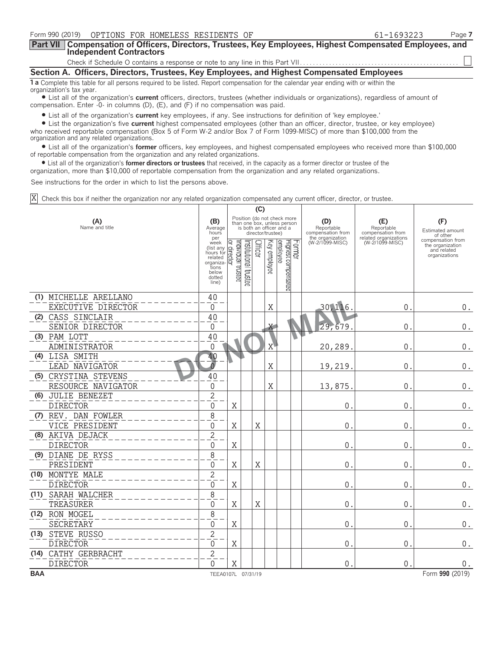| Form 990 (2019) OPTIONS FOR HOMELESS RESIDENTS OF                                                                                                                     | 61-1693223 | Page 7 |
|-----------------------------------------------------------------------------------------------------------------------------------------------------------------------|------------|--------|
| Part VII   Compensation of Officers, Directors, Trustees, Key Employees, Highest Compensated Employees, and<br>Independent Contractors                                |            |        |
|                                                                                                                                                                       |            |        |
| Section A. Officers, Directors, Trustees, Key Employees, and Highest Compensated Employees                                                                            |            |        |
| <b>1 a</b> Complete this table for all persons required to be listed. Report compensation for the calendar year ending with or within the<br>organization's tax year. |            |        |

? List all of the organization's **current** officers, directors, trustees (whether individuals or organizations), regardless of amount of compensation. Enter -0- in columns (D), (E), and (F) if no compensation was paid.

? List all of the organization's **current** key employees, if any. See instructions for definition of 'key employee.'

? List the organization's five **current** highest compensated employees (other than an officer, director, trustee, or key employee) who received reportable compensation (Box 5 of Form W-2 and/or Box 7 of Form 1099-MISC) of more than \$100,000 from the organization and any related organizations.

? List all of the organization's **former** officers, key employees, and highest compensated employees who received more than \$100,000 of reportable compensation from the organization and any related organizations.

? List all of the organization's **former directors or trustees** that received, in the capacity as a former director or trustee of the

organization, more than \$10,000 of reportable compensation from the organization and any related organizations.

See instructions for the order in which to list the persons above.

Check this box if neither the organization nor any related organization compensated any current officer, director, or trustee. X

|            |                                             |                                                                                            |                                  |                                 | (C)     |                   |                                                                                        |        |                                                            |                                                                 |                                                                       |
|------------|---------------------------------------------|--------------------------------------------------------------------------------------------|----------------------------------|---------------------------------|---------|-------------------|----------------------------------------------------------------------------------------|--------|------------------------------------------------------------|-----------------------------------------------------------------|-----------------------------------------------------------------------|
|            | (A)<br>Name and title                       | (B)<br>Average<br>hours<br>per                                                             |                                  |                                 |         | director/trustee) | Position (do not check more<br>than one box, unless person<br>is both an officer and a |        | (D)<br>Reportable<br>compensation from<br>the organization | (E)<br>Reportable<br>compensation from<br>related organizations | (F)<br>Estimated amount<br>of other                                   |
|            |                                             | week<br>(list any<br>hours for<br>related<br>organiza<br>tions<br>below<br>dotted<br>line) | ndividual trustee<br>direct<br>₫ | Institutional<br><b>trustee</b> | Officer | Key employee      | Highest compensated<br>employee                                                        | Former | (W-2/1099-MISC)                                            | (W-2/1099-MISC)                                                 | compensation from<br>the organization<br>and related<br>organizations |
|            | (1) MICHELLE ARELLANO<br>EXECUTIVE DIRECTOR | 40<br>$\Omega$                                                                             |                                  |                                 |         | X                 |                                                                                        |        | 30,116                                                     | $\mathbf{0}$                                                    | $\boldsymbol{0}$ .                                                    |
|            | (2) CASS SINCLAIR<br>SENIOR DIRECTOR        | 40<br>$\Omega$                                                                             |                                  |                                 |         | X                 |                                                                                        |        | 29,679                                                     | $\mathbf{0}$                                                    | $0$ .                                                                 |
|            | (3) PAM LOTT<br><b>ADMINISTRATOR</b>        | 40<br>$\Omega$                                                                             |                                  |                                 |         | X                 |                                                                                        |        | 20,289.                                                    | $\mathbf{0}$ .                                                  | $0$ .                                                                 |
|            | (4) LISA SMITH<br>LEAD NAVIGATOR            | 40                                                                                         |                                  |                                 |         | Χ                 |                                                                                        |        | 19,219.                                                    | $\mathbf 0$                                                     | 0.                                                                    |
|            | (5) CRYSTINA STEVENS<br>RESOURCE NAVIGATOR  | 40<br>$\Omega$                                                                             |                                  |                                 |         | X                 |                                                                                        |        | 13,875                                                     | $\mathbf 0$                                                     | 0.                                                                    |
|            | (6) JULIE BENEZET<br><b>DIRECTOR</b>        | $\sqrt{2}$<br>$\Omega$                                                                     | $\rm X$                          |                                 |         |                   |                                                                                        |        | $\mathbf 0$                                                | $\mathsf{0}$                                                    | $0_{.}$                                                               |
|            | (7) REV. DAN FOWLER<br>VICE PRESIDENT       | 8<br>$\Omega$                                                                              | Χ                                |                                 | X       |                   |                                                                                        |        | $\Omega$                                                   | $\mathbf{0}$                                                    | $0$ .                                                                 |
|            | (8) AKIVA DEJACK<br><b>DIRECTOR</b>         | $\sqrt{2}$<br>$\Omega$                                                                     | Χ                                |                                 |         |                   |                                                                                        |        | $\mathbf 0$                                                | 0                                                               | 0.                                                                    |
|            | (9) DIANE DE RYSS<br>PRESIDENT              | 8<br>$\Omega$                                                                              | X                                |                                 | X       |                   |                                                                                        |        | $\mathbf 0$                                                | $\mathbf 0$                                                     | 0.                                                                    |
|            | (10) MONTYE MALE<br><b>DIRECTOR</b>         | $\overline{c}$<br>$\mathbf{0}$                                                             | X                                |                                 |         |                   |                                                                                        |        | $\mathbf 0$                                                | $\mathbf{0}$                                                    | $0$ .                                                                 |
|            | (11) SARAH WALCHER<br>TREASURER             | 8<br>0                                                                                     | Χ                                |                                 | X       |                   |                                                                                        |        | $\boldsymbol{0}$                                           | $\mathsf 0$                                                     | $0$ .                                                                 |
|            | (12) RON MOGEL<br>SECRETARY                 | 8<br>$\Omega$                                                                              | X                                |                                 |         |                   |                                                                                        |        | $\mathbf 0$                                                | $\mathbf 0$                                                     | 0.                                                                    |
|            | (13) STEVE RUSSO<br><b>DIRECTOR</b>         | $\overline{2}$<br>$\Omega$                                                                 | X                                |                                 |         |                   |                                                                                        |        | $\mathbf 0$                                                | $\mathsf{0}$                                                    | 0.                                                                    |
|            | (14) CATHY GERBRACHT<br><b>DIRECTOR</b>     | $\overline{c}$<br>$\Omega$                                                                 | X                                |                                 |         |                   |                                                                                        |        | $\Omega$                                                   | $\mathbf 0$                                                     | 0.                                                                    |
| <b>BAA</b> |                                             | TEEA0107L 07/31/19                                                                         |                                  |                                 |         |                   |                                                                                        |        |                                                            |                                                                 | Form 990 (2019)                                                       |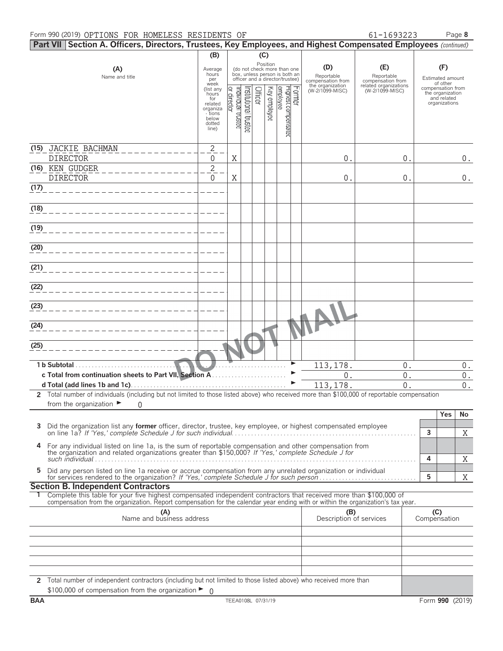| Part VII Section A. Officers, Directors, Trustees, Key Employees, and Highest Compensated Employees (continued)                                                                                                                                                                                           |                                 |                                     |                      |         |              |                                                                                                             |                                        |                                          |                                       |                              |             |
|-----------------------------------------------------------------------------------------------------------------------------------------------------------------------------------------------------------------------------------------------------------------------------------------------------------|---------------------------------|-------------------------------------|----------------------|---------|--------------|-------------------------------------------------------------------------------------------------------------|----------------------------------------|------------------------------------------|---------------------------------------|------------------------------|-------------|
|                                                                                                                                                                                                                                                                                                           | (B)                             |                                     |                      | (C)     |              |                                                                                                             |                                        |                                          |                                       |                              |             |
| (A)<br>Name and title                                                                                                                                                                                                                                                                                     | Average<br>hours<br>per<br>week |                                     |                      |         |              | Position<br>(do not check more than one<br>box, unless person is both an<br>officer and a director/trustee) | (D)<br>Reportable<br>compensation from | (E)<br>Reportable<br>compensation from   | Estimated amount                      | (F)<br>of other              |             |
|                                                                                                                                                                                                                                                                                                           | (list any<br>hours<br>for       | ndividual trustee<br>$\overline{a}$ | nstitutional trustee | Officer | Key employee | employee                                                                                                    | the organization<br>(W-2/1099-MISC)    | related organizations<br>(W-2/1099-MISC) | compensation from<br>the organization | and related<br>organizations |             |
|                                                                                                                                                                                                                                                                                                           | related<br>organiza<br>- tions  | irector                             |                      |         |              |                                                                                                             |                                        |                                          |                                       |                              |             |
|                                                                                                                                                                                                                                                                                                           | below<br>dotted<br>line)        |                                     |                      |         |              | Farmer<br>Highest compensated                                                                               |                                        |                                          |                                       |                              |             |
| (15) JACKIE BACHMAN<br><b>DIRECTOR</b>                                                                                                                                                                                                                                                                    | $\overline{2}$<br>$\mathbf{0}$  | Χ                                   |                      |         |              |                                                                                                             | 0.                                     | 0.                                       |                                       |                              |             |
| (16) KEN GUDGER                                                                                                                                                                                                                                                                                           | $\overline{2}$                  |                                     |                      |         |              |                                                                                                             |                                        |                                          |                                       |                              | 0.          |
| <b>DIRECTOR</b><br>(17)                                                                                                                                                                                                                                                                                   | $\Omega$                        | Χ                                   |                      |         |              |                                                                                                             | 0.                                     | 0.                                       |                                       |                              | $0$ .       |
| (18)                                                                                                                                                                                                                                                                                                      |                                 |                                     |                      |         |              |                                                                                                             |                                        |                                          |                                       |                              |             |
| (19)                                                                                                                                                                                                                                                                                                      |                                 |                                     |                      |         |              |                                                                                                             |                                        |                                          |                                       |                              |             |
| (20)                                                                                                                                                                                                                                                                                                      |                                 |                                     |                      |         |              |                                                                                                             |                                        |                                          |                                       |                              |             |
| (21)                                                                                                                                                                                                                                                                                                      |                                 |                                     |                      |         |              |                                                                                                             |                                        |                                          |                                       |                              |             |
| (22)                                                                                                                                                                                                                                                                                                      |                                 |                                     |                      |         |              |                                                                                                             |                                        |                                          |                                       |                              |             |
| (23)                                                                                                                                                                                                                                                                                                      |                                 |                                     |                      |         |              |                                                                                                             |                                        |                                          |                                       |                              |             |
| (24)                                                                                                                                                                                                                                                                                                      |                                 |                                     |                      |         |              |                                                                                                             |                                        |                                          |                                       |                              |             |
| (25)                                                                                                                                                                                                                                                                                                      |                                 |                                     |                      |         |              |                                                                                                             |                                        |                                          |                                       |                              |             |
|                                                                                                                                                                                                                                                                                                           |                                 |                                     |                      |         |              |                                                                                                             | 113, 178.                              | 0.                                       |                                       |                              | $0_{\cdot}$ |
|                                                                                                                                                                                                                                                                                                           |                                 |                                     |                      |         |              |                                                                                                             | $0$ .                                  | $0$ .<br>0.                              |                                       |                              | $0$ .<br>0. |
| 2 Total number of individuals (including but not limited to those listed above) who received more than \$100,000 of reportable compensation                                                                                                                                                               |                                 |                                     |                      |         |              |                                                                                                             | 113, 178.                              |                                          |                                       |                              |             |
| from the organization $\blacktriangleright$<br>$\overline{0}$                                                                                                                                                                                                                                             |                                 |                                     |                      |         |              |                                                                                                             |                                        |                                          |                                       |                              |             |
| Did the organization list any former officer, director, trustee, key employee, or highest compensated employee<br>3                                                                                                                                                                                       |                                 |                                     |                      |         |              |                                                                                                             |                                        |                                          |                                       | Yes                          | No          |
| For any individual listed on line 1a, is the sum of reportable compensation and other compensation from<br>4                                                                                                                                                                                              |                                 |                                     |                      |         |              |                                                                                                             |                                        |                                          | 3                                     |                              | X           |
| the organization and related organizations greater than \$150,000? If 'Yes,' complete Schedule J for                                                                                                                                                                                                      |                                 |                                     |                      |         |              |                                                                                                             |                                        |                                          | 4                                     |                              | Χ           |
| Did any person listed on line 1a receive or accrue compensation from any unrelated organization or individual<br>5                                                                                                                                                                                        |                                 |                                     |                      |         |              |                                                                                                             |                                        |                                          | 5                                     |                              | X           |
| <b>Section B. Independent Contractors</b><br>Complete this table for your five highest compensated independent contractors that received more than \$100,000 of<br>1.<br>compensation from the organization. Report compensation for the calendar year ending with or within the organization's tax year. |                                 |                                     |                      |         |              |                                                                                                             |                                        |                                          |                                       |                              |             |
| (A)<br>Name and business address                                                                                                                                                                                                                                                                          |                                 |                                     |                      |         |              |                                                                                                             | (B)<br>Description of services         |                                          | (C)<br>Compensation                   |                              |             |
|                                                                                                                                                                                                                                                                                                           |                                 |                                     |                      |         |              |                                                                                                             |                                        |                                          |                                       |                              |             |
|                                                                                                                                                                                                                                                                                                           |                                 |                                     |                      |         |              |                                                                                                             |                                        |                                          |                                       |                              |             |
| 2 Total number of independent contractors (including but not limited to those listed above) who received more than                                                                                                                                                                                        |                                 |                                     |                      |         |              |                                                                                                             |                                        |                                          |                                       |                              |             |
| \$100,000 of compensation from the organization $\blacktriangleright$ 0                                                                                                                                                                                                                                   |                                 |                                     |                      |         |              |                                                                                                             |                                        |                                          |                                       |                              |             |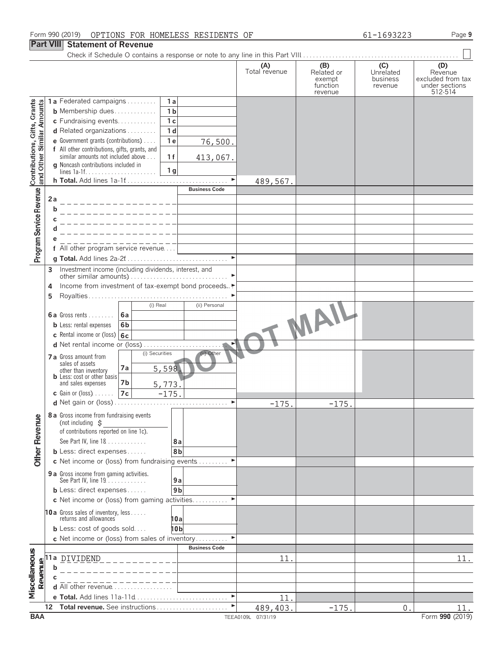#### Form 990 (2019) OPTIONS FOR HOMELESS RESIDENTS OF 61-1693223 Page **9**

#### **Part VIII Statement of Revenue**

Check if Schedule O contains a response or note to any line in this Part VIII. . . . . . . . . . . . . . . . . . . . . . . . . . . . . . . . . . . . . . . . . . . . . . . . .

|                              |    |                                                                                     |                |                       | (A)           | (B)                | (C)                 | (D)                                 |
|------------------------------|----|-------------------------------------------------------------------------------------|----------------|-----------------------|---------------|--------------------|---------------------|-------------------------------------|
|                              |    |                                                                                     |                |                       | Total revenue | Related or         | Unrelated           | Revenue                             |
|                              |    |                                                                                     |                |                       |               | exempt<br>function | business<br>revenue | excluded from tax<br>under sections |
|                              |    |                                                                                     |                |                       |               | revenue            |                     | 512-514                             |
| Contributions, Gifts, Grants |    | 1a Federated campaigns                                                              | 1a             |                       |               |                    |                     |                                     |
| Similar Amounts              |    | <b>b</b> Membership dues                                                            | 1 <sub>b</sub> |                       |               |                    |                     |                                     |
|                              |    | c Fundraising events                                                                | 1 <sub>c</sub> |                       |               |                    |                     |                                     |
|                              |    | d Related organizations                                                             | 1 <sub>d</sub> |                       |               |                    |                     |                                     |
|                              |    | e Government grants (contributions)                                                 | 1e             | 76,500.               |               |                    |                     |                                     |
|                              |    | f All other contributions, gifts, grants, and<br>similar amounts not included above | 1f             | 413,067.              |               |                    |                     |                                     |
|                              |    | g Noncash contributions included in                                                 |                |                       |               |                    |                     |                                     |
| and Other                    |    |                                                                                     | 1 <sub>g</sub> |                       |               |                    |                     |                                     |
|                              |    |                                                                                     |                |                       | 489,567.      |                    |                     |                                     |
| Program Service Revenue      |    |                                                                                     |                | <b>Business Code</b>  |               |                    |                     |                                     |
|                              | 2a |                                                                                     |                |                       |               |                    |                     |                                     |
|                              |    | b                                                                                   |                |                       |               |                    |                     |                                     |
|                              |    |                                                                                     |                |                       |               |                    |                     |                                     |
|                              |    |                                                                                     |                |                       |               |                    |                     |                                     |
|                              |    |                                                                                     |                |                       |               |                    |                     |                                     |
|                              |    | f All other program service revenue                                                 |                |                       |               |                    |                     |                                     |
|                              |    |                                                                                     |                |                       |               |                    |                     |                                     |
|                              | 3  | Investment income (including dividends, interest, and                               |                |                       |               |                    |                     |                                     |
|                              | 4  | Income from investment of tax-exempt bond proceeds.                                 |                |                       |               |                    |                     |                                     |
|                              | 5  |                                                                                     |                |                       |               |                    |                     |                                     |
|                              |    | (i) Real                                                                            |                | (ii) Personal         |               |                    |                     |                                     |
|                              |    | 6a<br><b>6a</b> Gross rents $\ldots$                                                |                |                       |               |                    |                     |                                     |
|                              |    | 6 <sub>b</sub><br><b>b</b> Less: rental expenses                                    |                |                       |               |                    |                     |                                     |
|                              |    | <b>c</b> Rental income or (loss) $6c$                                               |                |                       |               |                    |                     |                                     |
|                              |    |                                                                                     |                | $\blacktriangleright$ |               |                    |                     |                                     |
|                              |    | (i) Securities                                                                      |                | (ii) Other            |               |                    |                     |                                     |
|                              |    | <b>7 a</b> Gross amount from<br>sales of assets                                     |                |                       |               |                    |                     |                                     |
|                              |    | 7a<br>other than inventory                                                          | 5,598.         |                       |               |                    |                     |                                     |
|                              |    | <b>b</b> Less: cost or other basis<br>7b<br>and sales expenses                      | 5,773.         |                       |               |                    |                     |                                     |
|                              |    | 7c<br>$c$ Gain or (loss)                                                            | $-175.$        |                       |               |                    |                     |                                     |
|                              |    |                                                                                     |                |                       | $-175.$       | $-175$             |                     |                                     |
|                              |    | 8 a Gross income from fundraising events                                            |                |                       |               |                    |                     |                                     |
| nue                          |    | (not including $\zeta$                                                              |                |                       |               |                    |                     |                                     |
|                              |    | of contributions reported on line 1c).                                              |                |                       |               |                    |                     |                                     |
| <b>Other Reve</b>            |    | See Part IV, line 18                                                                | 8a             |                       |               |                    |                     |                                     |
|                              |    | <b>b</b> Less: direct expenses                                                      | 8 <sub>b</sub> |                       |               |                    |                     |                                     |
|                              |    | c Net income or (loss) from fundraising events                                      |                |                       |               |                    |                     |                                     |
|                              |    | 9 a Gross income from gaming activities.                                            |                |                       |               |                    |                     |                                     |
|                              |    | See Part IV, line 19.                                                               | 9a             |                       |               |                    |                     |                                     |
|                              |    | <b>b</b> Less: direct expenses                                                      | 9 <sub>b</sub> |                       |               |                    |                     |                                     |
|                              |    | c Net income or (loss) from gaming activities                                       |                |                       |               |                    |                     |                                     |
|                              |    | <b>10a</b> Gross sales of inventory, less<br>returns and allowances                 |                |                       |               |                    |                     |                                     |
|                              |    |                                                                                     |                | 10al                  |               |                    |                     |                                     |
|                              |    | <b>b</b> Less: cost of goods sold                                                   |                | 10 <sub>b</sub>       |               |                    |                     |                                     |
|                              |    | c Net income or (loss) from sales of inventory                                      |                |                       |               |                    |                     |                                     |
|                              |    |                                                                                     |                | <b>Business Code</b>  |               |                    |                     |                                     |
| Miscellaneous                |    | 11a DIVIDEND                                                                        |                |                       | 11.           |                    |                     | 11.                                 |
| even                         |    | b                                                                                   |                |                       |               |                    |                     |                                     |
| α                            |    |                                                                                     |                |                       |               |                    |                     |                                     |
|                              |    | <b>d</b> All other revenue $\ldots \ldots \ldots \ldots \ldots$                     |                |                       |               |                    |                     |                                     |
|                              |    |                                                                                     |                |                       | 11.           |                    |                     |                                     |
|                              | 12 | Total revenue. See instructions                                                     |                |                       | 489, 403.     | $-175$ .           | 0                   | 11.                                 |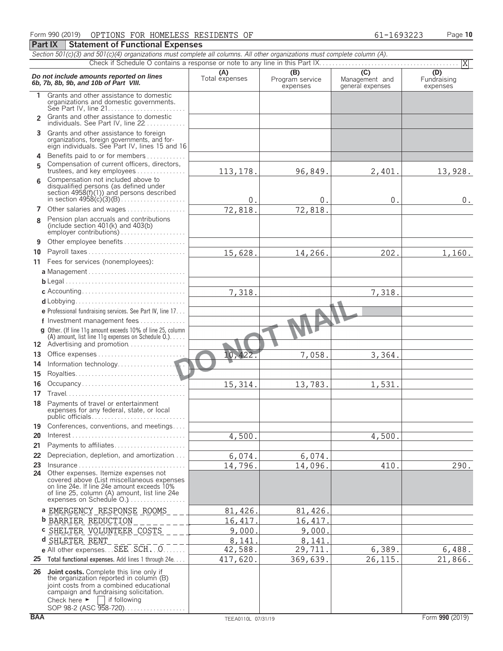#### *Section 501(c)(3) and 501(c)(4) organizations must complete all columns. All other organizations must complete column (A).* Check if Schedule O contains a response or note to any line in this Part IX. **(A) (B) (B) (C) (C) (D)**<br>**6b, 7b, 8b, 9b, and 10b of Part VIII. Expenses** Total expenses Program service Management and Fundraising expenses expenses **1** Grants and other assistance to domestic organizations and domestic governments. See Part IV, line 21. . . . . . . . . . . . . . . . . . . . . . . . 2 Grants and other assistance to domestic individuals. See Part IV, line 22. . . . . . . . **3** Grants and other assistance to foreign organizations, foreign governments, and for-eign individuals. See Part IV, lines 15 and 16 **4** Benefits paid to or for members. . . . . . . . . . . . . Compensation of current officers, directors, **<sup>5</sup>** trustees, and key employees. . . . . . . . . . . . . . . . Compensation not included above to **<sup>6</sup>** disqualified persons (as defined under section 4958(f)(1)) and persons described in section 4958(c)(3)(B). . . . . . . . . . . . . . . . . . . . **7** Other salaries and wages............. Pension plan accruals and contributions **<sup>8</sup>** (include section 401(k) and 403(b) employer contributions) . . . . . . . . . . **9** Other employee benefits . . . . . . **10** Payroll taxes . . . . . . . . . . . . . . . . . . . . . . . . . . . . . . **11** Fees for services (nonemployees): **a** Management . . . . . . . . . . . . . . . . . . . . . . . . . . . . . . **b** Legal. . . . . . . . . . . . . . . . . . . . . . . . . . . . . . . . . . . . . . **c** Accounting. . . . . . . . . . . . . . . . . . . . . . . . . . . . . . . . **d** Lobbying. . . . . . . . . . . . . . . . . . . . . . . . . . . . . . . . . . **e** Professional fundraising services. See Part IV, line 17. . . **f** Investment management fees. . . . . . . . . . . . . . . **g** Other. (If line 11g amount exceeds 10% of line 25, column (A) amount, list line 11g expenses on Schedule O.). . . . . **12** Advertising and promotion...... **13** Office expenses . . . . . . **14** Information technology... **15** Rovalties. . . . . . . . . . **16** Occupancy . . . . . . **17** Travel. . . . . . . . . . . . . . **18** Payments of travel or entertainment expenses for any federal, state, or local public officials. . . . . . . . . . . . . . . . . . . . . . . . . . . . . **19** Conferences, conventions, and meetings.... **20** Interest. . . . . . . . . . . . . . . . . . . . . . . . . . . . . . . . . . . . 21 Payments to affiliates. . . . . . . . . . . . . . **22** Depreciation, depletion, and amortization. . . . **23** Insurance . . . . . . . . . . . . . . . . . . . . . . . . . . . . . . . . . **24** Other expenses. Itemize expenses not covered above (List miscellaneous expenses on line 24e. If line 24e amount exceeds 10% of line 25, column (A) amount, list line 24e expenses on Schedule O.).................. **a** EMERGENCY RESPONSE ROOMS **b** BARRIER REDUCTION **c** SHELTER VOLUNTEER COSTS **d** SHLETER RENT **e** All other expenses. . . SEE . SCH . . . 0. . . . . . . **25 Total functional expenses.** Add lines 1 through 24e. . . . **26 Joint costs.** Complete this line only if the organization reported in column (B) joint costs from a combined educational campaign and fundraising solicitation.<br>Check here  $\blacktriangleright \Box$  if following  $\Box$  if following X 113,178. 96,849. 2,401. 13,928.  $0.$  0. 0. 0. 0. 72,818. 72,818. 15,628. 14,266. 202. 1,160. 7,318. 7,318. 10,422. 7,058. 3,364 15,314. 13,783. 1,531 4,500. 4,500. 6,074. 6,074. 14,796. 14,096. 410. 290. 81,426. 81,426. 16,417. 16,417. 9,000. 9,000. 8.141. 8.141. 42,588. 29,711. 6,389. 6,488. 417,620. 369,639. 26,115. 21,866.

SOP 98-2 (ASC 958-720)...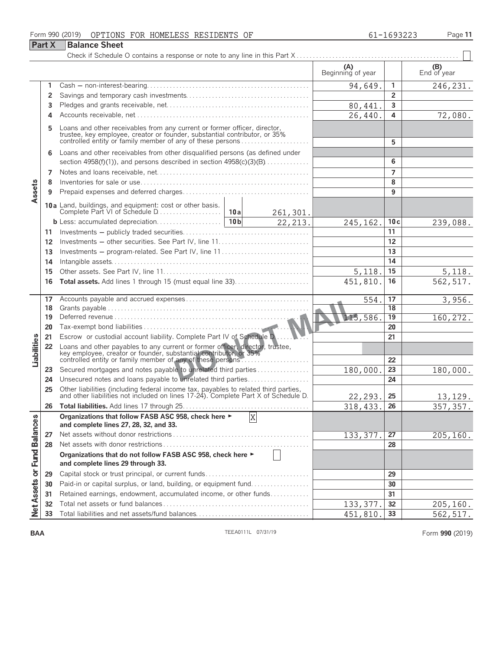#### Form 990 (2019) OPTIONS FOR HOMELESS RESIDENTS OF 61-1693223 Page **11** OPTIONS FOR HOMELESS RESIDENTS OF 61-1693223

|                             | <b>Part X</b> | <b>Balance Sheet</b>                                                                                                                                                                                             |                        |                          |                 |                    |
|-----------------------------|---------------|------------------------------------------------------------------------------------------------------------------------------------------------------------------------------------------------------------------|------------------------|--------------------------|-----------------|--------------------|
|                             |               |                                                                                                                                                                                                                  |                        |                          |                 |                    |
|                             |               |                                                                                                                                                                                                                  |                        | (A)<br>Beginning of year |                 | (B)<br>End of year |
|                             | 1             |                                                                                                                                                                                                                  |                        | 94,649.                  | 1               | 246, 231.          |
|                             | 2             |                                                                                                                                                                                                                  |                        |                          | $\overline{2}$  |                    |
|                             | 3             |                                                                                                                                                                                                                  |                        | 80,441.                  | 3               |                    |
|                             | 4             |                                                                                                                                                                                                                  |                        | 26,440.                  | 4               | 72,080.            |
|                             | 5             | Loans and other receivables from any current or former officer, director, trustee, key employee, creator or founder, substantial contributor, or 35% controlled entity or family member of any of these persons  |                        |                          | 5               |                    |
|                             | 6             | Loans and other receivables from other disqualified persons (as defined under<br>section $4958(f)(1)$ , and persons described in section $4958(c)(3)(B)$                                                         |                        |                          | 6               |                    |
|                             | 7             |                                                                                                                                                                                                                  |                        |                          | 7               |                    |
|                             | 8             |                                                                                                                                                                                                                  |                        |                          | 8               |                    |
| Assets                      | 9             |                                                                                                                                                                                                                  |                        |                          | 9               |                    |
|                             |               |                                                                                                                                                                                                                  | 261,301.               |                          |                 |                    |
|                             |               |                                                                                                                                                                                                                  | $\overline{2}$ 2, 213. | 245, 162.                | 10 <sub>c</sub> | 239,088.           |
|                             | 11            |                                                                                                                                                                                                                  |                        |                          | 11              |                    |
|                             | 12            |                                                                                                                                                                                                                  |                        |                          | 12              |                    |
|                             | 13            | Investments - program-related. See Part IV, line 11                                                                                                                                                              |                        |                          | 13              |                    |
|                             | 14            |                                                                                                                                                                                                                  |                        |                          | 14              |                    |
|                             | 15            |                                                                                                                                                                                                                  |                        | 5,118.                   | 15              | 5,118.             |
|                             | 16            |                                                                                                                                                                                                                  |                        | 451,810.                 | 16              | 562, 517.          |
|                             | 17            |                                                                                                                                                                                                                  |                        | 554.                     | 17              | 3,956.             |
|                             | 18            |                                                                                                                                                                                                                  |                        |                          | 18              |                    |
|                             | 19            |                                                                                                                                                                                                                  |                        | 115,586.                 | 19              | 160, 272.          |
|                             | 20            |                                                                                                                                                                                                                  |                        |                          | 20              |                    |
|                             | 21            | Escrow or custodial account liability. Complete Part IV of Schedule D                                                                                                                                            |                        |                          | 21              |                    |
| Liabilities                 | 22            | Loans and other payables to any current or former officer, director, trustee,<br>key employee, creator or founder, substantial contributor, or 35%<br>controlled entity or family member of any of these persons |                        |                          | 22              |                    |
|                             | 23            | Secured mortgages and notes payable to unrelated third parties                                                                                                                                                   |                        | 180,000.                 | 23              | 180,000.           |
|                             | 24            | Unsecured notes and loans payable to unrelated third parties                                                                                                                                                     |                        |                          | 24              |                    |
|                             | 25            | Other liabilities (including federal income tax, payables to related third parties, and other liabilities not included on lines 17-24). Complete Part X of Schedule D.                                           |                        | 22,293.                  | 25              | 13,129.            |
|                             | 26            |                                                                                                                                                                                                                  |                        | 318,433.                 | 26              | 357, 357.          |
|                             |               | Organizations that follow FASB ASC 958, check here ►<br>and complete lines 27, 28, 32, and 33.                                                                                                                   | X                      |                          |                 |                    |
|                             | 27            |                                                                                                                                                                                                                  |                        | 133, 377.                | 27              | 205,160.           |
|                             | 28            |                                                                                                                                                                                                                  |                        |                          | 28              |                    |
| Net Assets or Fund Balances |               | Organizations that do not follow FASB ASC 958, check here ►<br>and complete lines 29 through 33.                                                                                                                 |                        |                          |                 |                    |
|                             | 29            | Capital stock or trust principal, or current funds                                                                                                                                                               |                        |                          | 29              |                    |
|                             | 30            | Paid-in or capital surplus, or land, building, or equipment fund                                                                                                                                                 |                        |                          | 30              |                    |
|                             | 31            | Retained earnings, endowment, accumulated income, or other funds                                                                                                                                                 |                        |                          | 31              |                    |
|                             | 32            |                                                                                                                                                                                                                  |                        | 133, 377.                | 32              | 205,160.           |
|                             | 33            | Total liabilities and net assets/fund balances                                                                                                                                                                   |                        | 451,810.                 | 33              | 562, 517.          |

**BAA** TEEA0111L 07/31/19 Form **990** (2019)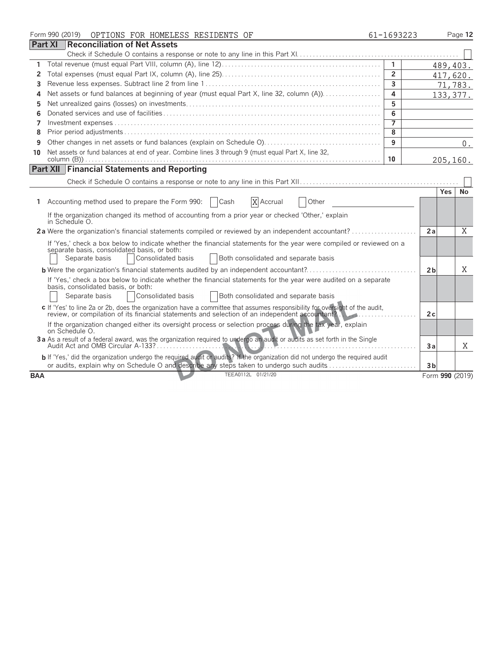|            | Form 990 (2019) OPTIONS FOR HOMELESS RESIDENTS OF                                                                                                                                                                                                    | 61-1693223     |                | Page 12                 |
|------------|------------------------------------------------------------------------------------------------------------------------------------------------------------------------------------------------------------------------------------------------------|----------------|----------------|-------------------------|
|            | <b>Part XI</b><br>Reconciliation of Net Assets                                                                                                                                                                                                       |                |                |                         |
|            |                                                                                                                                                                                                                                                      |                |                |                         |
| 1          |                                                                                                                                                                                                                                                      | $\overline{1}$ |                | 489,403.                |
| 2          |                                                                                                                                                                                                                                                      | $\overline{2}$ |                | 417,620.                |
| 3          |                                                                                                                                                                                                                                                      | $\overline{3}$ |                | 71,783.                 |
| 4          | Net assets or fund balances at beginning of year (must equal Part X, line 32, column (A))                                                                                                                                                            | $\overline{4}$ |                | 133, 377.               |
| 5          |                                                                                                                                                                                                                                                      | 5              |                |                         |
| 6          |                                                                                                                                                                                                                                                      | 6              |                |                         |
| 7          |                                                                                                                                                                                                                                                      | $\overline{7}$ |                |                         |
| 8          |                                                                                                                                                                                                                                                      | $\overline{8}$ |                |                         |
| 9          |                                                                                                                                                                                                                                                      | 9              |                | 0.                      |
| 10         | Net assets or fund balances at end of year. Combine lines 3 through 9 (must equal Part X, line 32,                                                                                                                                                   | 10             |                | 205, 160.               |
|            | <b>Part XII   Financial Statements and Reporting</b>                                                                                                                                                                                                 |                |                |                         |
|            |                                                                                                                                                                                                                                                      |                |                |                         |
|            |                                                                                                                                                                                                                                                      |                |                | <b>Yes</b><br><b>No</b> |
| 1.         | Accounting method used to prepare the Form 990:<br>X Accrual<br>Cash<br>Other                                                                                                                                                                        |                |                |                         |
|            | If the organization changed its method of accounting from a prior year or checked 'Other,' explain<br>in Schedule O.                                                                                                                                 |                |                |                         |
|            | 2a Were the organization's financial statements compiled or reviewed by an independent accountant?                                                                                                                                                   |                | 2a             | X                       |
|            | If 'Yes,' check a box below to indicate whether the financial statements for the year were compiled or reviewed on a<br>separate basis, consolidated basis, or both:<br>Consolidated basis<br>Both consolidated and separate basis<br>Separate basis |                |                |                         |
|            | <b>b</b> Were the organization's financial statements audited by an independent accountant?                                                                                                                                                          |                | 2 <sub>b</sub> | X                       |
|            | If 'Yes,' check a box below to indicate whether the financial statements for the year were audited on a separate<br>basis, consolidated basis, or both:<br>Consolidated basis<br>Separate basis<br>Both consolidated and separate basis              |                |                |                         |
|            | c If 'Yes' to line 2a or 2b, does the organization have a committee that assumes responsibility for oversight of the audit,<br>review, or compilation of its financial statements and selection of an independent accountant?                        |                | 2c             |                         |
|            | If the organization changed either its oversight process or selection process during the tax year, explain<br>on Schedule O.                                                                                                                         |                |                |                         |
|            | 3a As a result of a federal award, was the organization required to undergo an audit or audits as set forth in the Single                                                                                                                            |                | 3a             | Χ                       |
|            | b If 'Yes,' did the organization undergo the required audit or audits? If the organization did not undergo the required audit<br>or audits, explain why on Schedule O and describe any steps taken to undergo such audits                            |                | 3 <sub>b</sub> |                         |
| <b>BAA</b> | TEEA0112L 01/21/20                                                                                                                                                                                                                                   |                |                | Form 990 (2019)         |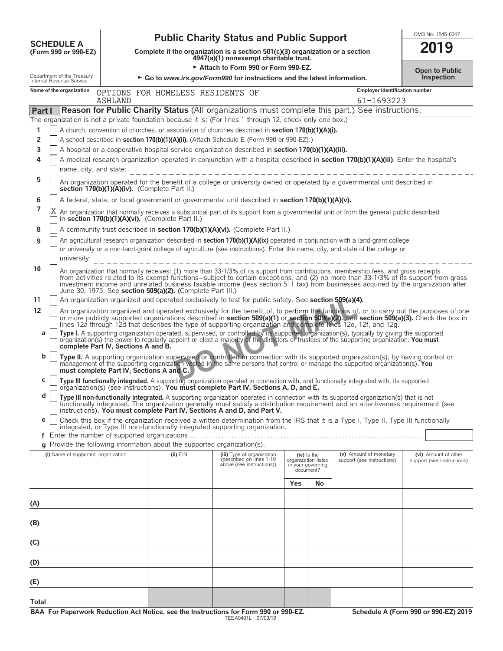| <b>SCHEDULE A</b>                            |  |
|----------------------------------------------|--|
| $T_{\rm C}$ $\sim$ 000 $\sim$ 000 $\Gamma$ 7 |  |

# **OMB No. 1545-0047**<br>
Complete if the organization is a section 501(c)(3) organization or a section **2019**

**COMPOUTE A**<br>
(Form 990 or 990-EZ) Complete if the organization is a section 501(c)(3) organization or a section<br>
4947(a)(1) nonexempt charitable trust.

| Attach to Form 990 or Form 990-EZ. |                                                        |                                                                                                  |                                                                          |                                                                                                                                                                                                                                                                                                                                                                                                                    |                                                                      | <b>Open to Public</b> |                                                      |                                                    |  |  |
|------------------------------------|--------------------------------------------------------|--------------------------------------------------------------------------------------------------|--------------------------------------------------------------------------|--------------------------------------------------------------------------------------------------------------------------------------------------------------------------------------------------------------------------------------------------------------------------------------------------------------------------------------------------------------------------------------------------------------------|----------------------------------------------------------------------|-----------------------|------------------------------------------------------|----------------------------------------------------|--|--|
|                                    | Department of the Treasury<br>Internal Revenue Service |                                                                                                  |                                                                          | ► Go to www.irs.gov/Form990 for instructions and the latest information.                                                                                                                                                                                                                                                                                                                                           |                                                                      |                       |                                                      | <b>Inspection</b>                                  |  |  |
|                                    | Name of the organization                               |                                                                                                  | OPTIONS FOR HOMELESS RESIDENTS OF                                        |                                                                                                                                                                                                                                                                                                                                                                                                                    |                                                                      |                       | <b>Employer identification number</b>                |                                                    |  |  |
|                                    |                                                        | <b>ASHLAND</b>                                                                                   |                                                                          |                                                                                                                                                                                                                                                                                                                                                                                                                    | 61-1693223                                                           |                       |                                                      |                                                    |  |  |
| Part I                             |                                                        |                                                                                                  |                                                                          | <b>Reason for Public Charity Status (All organizations must complete this part.) See instructions.</b>                                                                                                                                                                                                                                                                                                             |                                                                      |                       |                                                      |                                                    |  |  |
|                                    |                                                        |                                                                                                  |                                                                          | The organization is not a private foundation because it is: (For lines 1 through 12, check only one box.)                                                                                                                                                                                                                                                                                                          |                                                                      |                       |                                                      |                                                    |  |  |
| 1                                  |                                                        |                                                                                                  |                                                                          | A church, convention of churches, or association of churches described in section 170(b)(1)(A)(i).                                                                                                                                                                                                                                                                                                                 |                                                                      |                       |                                                      |                                                    |  |  |
| $\overline{2}$                     |                                                        |                                                                                                  |                                                                          | A school described in section 170(b)(1)(A)(ii). (Attach Schedule E (Form 990 or 990-EZ).)                                                                                                                                                                                                                                                                                                                          |                                                                      |                       |                                                      |                                                    |  |  |
| 3                                  |                                                        |                                                                                                  |                                                                          | A hospital or a cooperative hospital service organization described in section 170(b)(1)(A)(iii).                                                                                                                                                                                                                                                                                                                  |                                                                      |                       |                                                      |                                                    |  |  |
| 4                                  | name, city, and state:                                 |                                                                                                  |                                                                          | A medical research organization operated in conjunction with a hospital described in section 170(b)(1)(A)(iii). Enter the hospital's                                                                                                                                                                                                                                                                               |                                                                      |                       |                                                      |                                                    |  |  |
| 5                                  |                                                        |                                                                                                  | section 170(b)(1)(A)(iv). (Complete Part II.)                            | An organization operated for the benefit of a college or university owned or operated by a governmental unit described in                                                                                                                                                                                                                                                                                          |                                                                      |                       |                                                      |                                                    |  |  |
| 6                                  |                                                        | A federal, state, or local government or governmental unit described in section 170(b)(1)(A)(v). |                                                                          |                                                                                                                                                                                                                                                                                                                                                                                                                    |                                                                      |                       |                                                      |                                                    |  |  |
| 7                                  | X                                                      |                                                                                                  | in section 170(b)(1)(A)(vi). (Complete Part II.)                         | An organization that normally receives a substantial part of its support from a governmental unit or from the general public described                                                                                                                                                                                                                                                                             |                                                                      |                       |                                                      |                                                    |  |  |
| 8                                  |                                                        |                                                                                                  |                                                                          | A community trust described in section 170(b)(1)(A)(vi). (Complete Part II.)                                                                                                                                                                                                                                                                                                                                       |                                                                      |                       |                                                      |                                                    |  |  |
| 9                                  | university:                                            |                                                                                                  |                                                                          | An agricultural research organization described in <b>section 170(b)(1)(A)(ix)</b> operated in conjunction with a land-grant college<br>or university or a non-land-grant college of agriculture (see instructions). Enter the name, city, and state of the college or                                                                                                                                             |                                                                      |                       |                                                      |                                                    |  |  |
| 10                                 |                                                        |                                                                                                  |                                                                          |                                                                                                                                                                                                                                                                                                                                                                                                                    |                                                                      |                       |                                                      |                                                    |  |  |
|                                    |                                                        |                                                                                                  | June 30, 1975. See section 509(a)(2). (Complete Part III.)               | An organization that normally receives: (1) more than 33-1/3% of its support from contributions, membership fees, and gross receipts<br>from activities related to its exempt functions—subject to certain exceptions, and (2) no more than 33-1/3% of its support from gross<br>investment income and unrelated business taxable income (less section 511 tax) from businesses acquired by the organization after |                                                                      |                       |                                                      |                                                    |  |  |
| 11                                 |                                                        |                                                                                                  |                                                                          | An organization organized and operated exclusively to test for public safety. See section 509(a)(4).                                                                                                                                                                                                                                                                                                               |                                                                      |                       |                                                      |                                                    |  |  |
| 12                                 |                                                        |                                                                                                  |                                                                          | An organization organized and operated exclusively for the benefit of, to perform the functions of, or to carry out the purposes of one<br>or more publicly supported organizations described in section 509(a)(1) or section 509(a)(2). See section 509(a)(3). Check the box in                                                                                                                                   |                                                                      |                       |                                                      |                                                    |  |  |
|                                    |                                                        |                                                                                                  |                                                                          | lines 12a through 12d that describes the type of supporting organization and complete lines 12e, 12f, and 12g.                                                                                                                                                                                                                                                                                                     |                                                                      |                       |                                                      |                                                    |  |  |
| а                                  |                                                        | complete Part IV, Sections A and B.                                                              |                                                                          | Type I. A supporting organization operated, supervised, or controlled by its supported organization(s), typically by giving the supported organization(s) the power to regularly appoint or elect a majority of the directors                                                                                                                                                                                      |                                                                      |                       |                                                      |                                                    |  |  |
| b                                  |                                                        |                                                                                                  |                                                                          |                                                                                                                                                                                                                                                                                                                                                                                                                    |                                                                      |                       |                                                      |                                                    |  |  |
|                                    |                                                        | must complete Part IV, Sections A and C.                                                         |                                                                          | Type II. A supporting organization supervised or controlled in connection with its supported organization(s), by having control or<br>management of the supporting organization vested in the same persons that control or manage the supported organization(s). You                                                                                                                                               |                                                                      |                       |                                                      |                                                    |  |  |
| С                                  |                                                        |                                                                                                  |                                                                          | Type III functionally integrated. A supporting organization operated in connection with, and functionally integrated with, its supported organization(s) (see instructions). You must complete Part IV, Sections A, D, and E.                                                                                                                                                                                      |                                                                      |                       |                                                      |                                                    |  |  |
| d                                  |                                                        |                                                                                                  |                                                                          | Type III non-functionally integrated. A supporting organization operated in connection with its supported organization(s) that is not<br>functionally integrated. The organization generally must satisfy a distribution requirement and an attentiveness requirement (see instructions). You must complete Part IV, Sections A and D, and Part V.                                                                 |                                                                      |                       |                                                      |                                                    |  |  |
| е                                  |                                                        |                                                                                                  |                                                                          | Check this box if the organization received a written determination from the IRS that it is a Type I, Type II, Type III functionally<br>integrated, or Type III non-functionally integrated supporting organization.                                                                                                                                                                                               |                                                                      |                       |                                                      |                                                    |  |  |
|                                    |                                                        |                                                                                                  | Enter the number of supported organizations                              |                                                                                                                                                                                                                                                                                                                                                                                                                    |                                                                      |                       |                                                      |                                                    |  |  |
|                                    |                                                        |                                                                                                  | g Provide the following information about the supported organization(s). |                                                                                                                                                                                                                                                                                                                                                                                                                    |                                                                      |                       |                                                      |                                                    |  |  |
|                                    | (i) Name of supported organization                     |                                                                                                  | $(ii)$ $EIN$                                                             | (iii) Type of organization<br>described on lines 1-10<br>above (see instructions))                                                                                                                                                                                                                                                                                                                                 | (iv) Is the<br>organization listed<br>in your governing<br>document? |                       | (v) Amount of monetary<br>support (see instructions) | (vi) Amount of other<br>support (see instructions) |  |  |
|                                    |                                                        |                                                                                                  |                                                                          |                                                                                                                                                                                                                                                                                                                                                                                                                    | Yes                                                                  | No                    |                                                      |                                                    |  |  |
|                                    |                                                        |                                                                                                  |                                                                          |                                                                                                                                                                                                                                                                                                                                                                                                                    |                                                                      |                       |                                                      |                                                    |  |  |
| (A)                                |                                                        |                                                                                                  |                                                                          |                                                                                                                                                                                                                                                                                                                                                                                                                    |                                                                      |                       |                                                      |                                                    |  |  |
| (B)                                |                                                        |                                                                                                  |                                                                          |                                                                                                                                                                                                                                                                                                                                                                                                                    |                                                                      |                       |                                                      |                                                    |  |  |
| (C)                                |                                                        |                                                                                                  |                                                                          |                                                                                                                                                                                                                                                                                                                                                                                                                    |                                                                      |                       |                                                      |                                                    |  |  |
| (D)                                |                                                        |                                                                                                  |                                                                          |                                                                                                                                                                                                                                                                                                                                                                                                                    |                                                                      |                       |                                                      |                                                    |  |  |
| (E)                                |                                                        |                                                                                                  |                                                                          |                                                                                                                                                                                                                                                                                                                                                                                                                    |                                                                      |                       |                                                      |                                                    |  |  |
| Total                              |                                                        |                                                                                                  |                                                                          |                                                                                                                                                                                                                                                                                                                                                                                                                    |                                                                      |                       |                                                      |                                                    |  |  |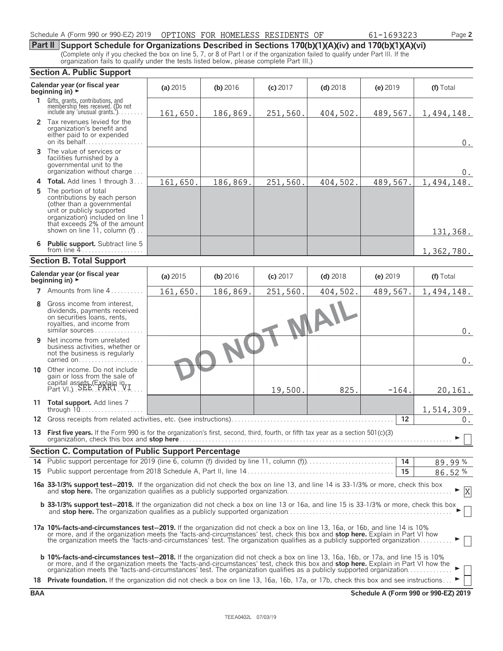| Schedule A (Form 990 or 990-EZ) 2019                   OPTIONS FOR HOMELESS RESIDENTS OF | 61-1693223<br>$P$ age $\lambda$ |
|------------------------------------------------------------------------------------------|---------------------------------|
|------------------------------------------------------------------------------------------|---------------------------------|

**Part II Support Schedule for Organizations Described in Sections 170(b)(1)(A)(iv) and 170(b)(1)(A)(vi)** (Complete only if you checked the box on line 5, 7, or 8 of Part I or if the organization failed to qualify under Part III. If the organization fails to qualify under the tests listed below, please complete Part III.)

#### **Section A. Public Support**

|              | Calendar year (or fiscal year<br>beginning in) $\rightarrow$                                                                                                                                                                                                                                                                                                                                              | (a) 2015   | (b) $2016$ | $(c)$ 2017 | $(d)$ 2018 | $(e)$ 2019 | (f) Total         |
|--------------|-----------------------------------------------------------------------------------------------------------------------------------------------------------------------------------------------------------------------------------------------------------------------------------------------------------------------------------------------------------------------------------------------------------|------------|------------|------------|------------|------------|-------------------|
| $\mathbf{1}$ | Gifts, grants, contributions, and<br>membership fees received. (Do not<br>include any 'unusual grants.'). $\dots \dots$                                                                                                                                                                                                                                                                                   | 161,650.   | 186,869.   | 251,560.   | 404,502.   | 489,567.   | 1,494,148.        |
|              | 2 Tax revenues levied for the<br>organization's benefit and<br>either paid to or expended<br>on its behalf                                                                                                                                                                                                                                                                                                |            |            |            |            |            | $0$ .             |
| 3            | The value of services or<br>facilities furnished by a<br>governmental unit to the<br>organization without charge                                                                                                                                                                                                                                                                                          |            |            |            |            |            | 0.                |
| 4            | <b>Total.</b> Add lines 1 through 3                                                                                                                                                                                                                                                                                                                                                                       | 161,650.   | 186,869.   | 251,560.   | 404,502.   | 489,567.   | 1,494,148.        |
| 5            | The portion of total<br>contributions by each person<br>(other than a governmental<br>unit or publicly supported<br>organization) included on line 1<br>that exceeds 2% of the amount<br>shown on line 11, column (f)                                                                                                                                                                                     |            |            |            |            |            | 131,368.          |
| 6            | <b>Public support.</b> Subtract line 5<br>from line $4$                                                                                                                                                                                                                                                                                                                                                   |            |            |            |            |            | 1,362,780.        |
|              | <b>Section B. Total Support</b>                                                                                                                                                                                                                                                                                                                                                                           |            |            |            |            |            |                   |
|              | Calendar year (or fiscal year<br>beginning in) $\rightarrow$                                                                                                                                                                                                                                                                                                                                              | (a) $2015$ | (b) 2016   | $(c)$ 2017 | $(d)$ 2018 | $(e)$ 2019 | (f) Total         |
|              | <b>7</b> Amounts from line $4, \ldots, \ldots$                                                                                                                                                                                                                                                                                                                                                            | 161,650.   | 186,869.   | 251,560.   | 404,502.   | 489,567.   | 1,494,148.        |
| 8            | Gross income from interest.<br>dividends, payments received<br>on securities loans, rents,<br>royalties, and income from<br>similar sources                                                                                                                                                                                                                                                               |            |            |            | MAIL       |            | 0.                |
| 9            | Net income from unrelated<br>business activities, whether or<br>not the business is regularly<br>carried on                                                                                                                                                                                                                                                                                               |            |            |            |            |            | $0$ .             |
|              | 10 Other income. Do not include<br>gain or loss from the sale of<br>capital assets (Explain in Fart VI.) SEE PART VI                                                                                                                                                                                                                                                                                      |            |            | 19,500.    | 825.       | $-164.$    | 20, 161.          |
|              | 11 Total support. Add lines 7                                                                                                                                                                                                                                                                                                                                                                             |            |            |            |            |            | 1, 514, 309.      |
| 12           |                                                                                                                                                                                                                                                                                                                                                                                                           |            |            |            |            | 12         | 0.                |
|              | 13 First five years. If the Form 990 is for the organization's first, second, third, fourth, or fifth tax year as a section 501(c)(3)                                                                                                                                                                                                                                                                     |            |            |            |            |            |                   |
|              | <b>Section C. Computation of Public Support Percentage</b>                                                                                                                                                                                                                                                                                                                                                |            |            |            |            |            |                   |
|              |                                                                                                                                                                                                                                                                                                                                                                                                           |            |            |            |            |            | 89.99%            |
|              |                                                                                                                                                                                                                                                                                                                                                                                                           |            |            |            |            | - 15       | 86.52%            |
|              | 16a 33-1/3% support test-2019. If the organization did not check the box on line 13, and line 14 is 33-1/3% or more, check this box                                                                                                                                                                                                                                                                       |            |            |            |            |            | $\mathbf{X}$      |
|              | <b>b 33-1/3% support test-2018.</b> If the organization did not check a box on line 13 or 16a, and line 15 is 33-1/3% or more, check this box                                                                                                                                                                                                                                                             |            |            |            |            |            |                   |
|              | 17a 10%-facts-and-circumstances test-2019. If the organization did not check a box on line 13, 16a, or 16b, and line 14 is 10%<br>or more, and if the organization meets the 'facts-and-circumstances' test, check this box and stop here. Explain in Part VI how                                                                                                                                         |            |            |            |            |            | $\vert \ \ \vert$ |
|              | <b>b 10%-facts-and-circumstances test-2018.</b> If the organization did not check a box on line 13, 16a, 16b, or 17a, and line 15 is 10%<br>or more, and if the organization meets the 'facts-and-circumstances' test, check this box and stop here. Explain in Part VI how the<br>organization meets the 'facts-and-circumstances' test. The organization qualifies as a publicly supported organization |            |            |            |            |            |                   |
|              | 18 Private foundation. If the organization did not check a box on line 13, 16a, 16b, 17a, or 17b, check this box and see instructions                                                                                                                                                                                                                                                                     |            |            |            |            |            |                   |

**BAA Schedule A (Form 990 or 990-EZ) 2019**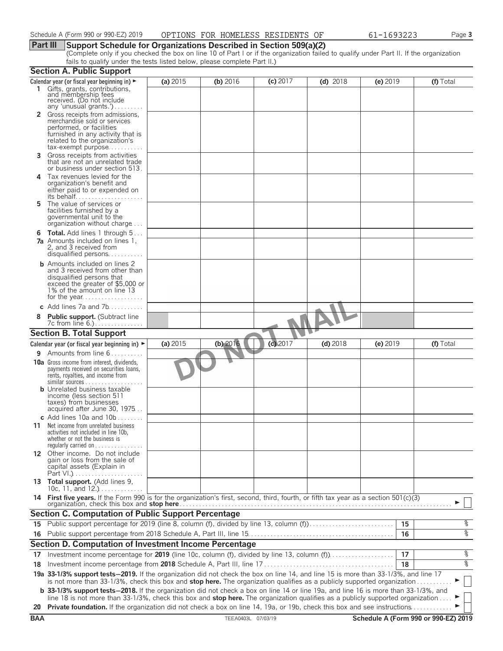#### **Part III Support Schedule for Organizations Described in Section 509(a)(2)**

(Complete only if you checked the box on line 10 of Part I or if the organization failed to qualify under Part II. If the organization fails to qualify under the tests listed below, please complete Part II.)

|                | <b>Section A. Public Support</b>                                                                                                                                                                                                                                              |          |                    |          |            |          |                                      |
|----------------|-------------------------------------------------------------------------------------------------------------------------------------------------------------------------------------------------------------------------------------------------------------------------------|----------|--------------------|----------|------------|----------|--------------------------------------|
|                | Calendar year (or fiscal year beginning in) ►                                                                                                                                                                                                                                 | (a) 2015 | (b) $2016$         | (c) 2017 | $(d)$ 2018 | (e) 2019 | (f) Total                            |
|                | 1 Gifts, grants, contributions,<br>and membership fees<br>received. (Do not include<br>any 'unusual grants.')                                                                                                                                                                 |          |                    |          |            |          |                                      |
| $\mathbf{2}^-$ | Gross receipts from admissions,<br>merchandise sold or services<br>performed, or facilities<br>furnished in any activity that is<br>related to the organization's                                                                                                             |          |                    |          |            |          |                                      |
| 3              | $tax\text{-}exempt$ purpose<br>Gross receipts from activities<br>that are not an unrelated trade<br>or business under section 513.                                                                                                                                            |          |                    |          |            |          |                                      |
| 4              | Tax revenues levied for the<br>organization's benefit and<br>either paid to or expended on                                                                                                                                                                                    |          |                    |          |            |          |                                      |
| 5              | The value of services or<br>facilities furnished by a<br>governmental unit to the<br>organization without charge                                                                                                                                                              |          |                    |          |            |          |                                      |
|                | <b>6 Total.</b> Add lines 1 through 5<br><b>7a</b> Amounts included on lines 1,<br>2, and 3 received from<br>disqualified persons                                                                                                                                             |          |                    |          |            |          |                                      |
|                | <b>b</b> Amounts included on lines 2<br>and 3 received from other than<br>disqualified persons that<br>exceed the greater of \$5,000 or<br>1% of the amount on line 13<br>for the year                                                                                        |          |                    |          |            |          |                                      |
|                | c Add lines 7a and 7b                                                                                                                                                                                                                                                         |          |                    |          |            |          |                                      |
| 8              | <b>Public support.</b> (Subtract line                                                                                                                                                                                                                                         |          |                    |          |            |          |                                      |
|                | <b>Section B. Total Support</b>                                                                                                                                                                                                                                               |          |                    |          |            |          |                                      |
|                | Calendar year (or fiscal year beginning in) $\blacktriangleright$                                                                                                                                                                                                             | (a) 2015 | (b) 2016           | (c) 2017 | $(d)$ 2018 | (e) 2019 | (f) Total                            |
| 9.             | Amounts from line $6, \ldots, \ldots$                                                                                                                                                                                                                                         |          |                    |          |            |          |                                      |
|                | <b>10a</b> Gross income from interest, dividends,<br>payments received on securities loans,<br>rents, royalties, and income from<br>similar sources<br><b>b</b> Unrelated business taxable<br>income (less section 511                                                        |          |                    |          |            |          |                                      |
|                | taxes) from businesses<br>acquired after June 30, 1975                                                                                                                                                                                                                        |          |                    |          |            |          |                                      |
|                | c Add lines 10a and $10b$<br><b>11</b> Net income from unrelated business<br>activities not included in line 10b,<br>whether or not the business is<br>regularly carried on $\dots\dots\dots\dots\dots$                                                                       |          |                    |          |            |          |                                      |
|                | 12 Other income. Do not include<br>gain or loss from the sale of<br>capital assets (Explain in                                                                                                                                                                                |          |                    |          |            |          |                                      |
|                | 13 Total support. (Add lines 9,<br>10c, 11, and $12.$ )                                                                                                                                                                                                                       |          |                    |          |            |          |                                      |
|                | 14 First five years. If the Form 990 is for the organization's first, second, third, fourth, or fifth tax year as a section 501(c)(3)<br>organization, check this box and stop here                                                                                           |          |                    |          |            |          |                                      |
|                | <b>Section C. Computation of Public Support Percentage</b>                                                                                                                                                                                                                    |          |                    |          |            |          |                                      |
| 15             | Public support percentage for 2019 (line 8, column (f), divided by line 13, column (f)                                                                                                                                                                                        |          |                    |          |            | 15       | ್ಠಿ                                  |
|                |                                                                                                                                                                                                                                                                               |          |                    |          |            | 16       | $\frac{1}{\sqrt{2}}$                 |
|                | Section D. Computation of Investment Income Percentage                                                                                                                                                                                                                        |          |                    |          |            |          |                                      |
| 17             | Investment income percentage for 2019 (line 10c, column (f), divided by line 13, column (f)                                                                                                                                                                                   |          |                    |          |            | 17       | %                                    |
| 18             |                                                                                                                                                                                                                                                                               |          |                    |          |            | 18       | $\frac{1}{\sqrt{2}}$                 |
|                | 19a 33-1/3% support tests-2019. If the organization did not check the box on line 14, and line 15 is more than 33-1/3%, and line 17<br>is not more than 33-1/3%, check this box and stop here. The organization qualifies as a publicly supported organization                |          |                    |          |            |          |                                      |
|                | <b>b</b> 33-1/3% support tests-2018. If the organization did not check a box on line 14 or line 19a, and line 16 is more than 33-1/3%, and<br>line 18 is not more than 33-1/3%, check this box and stop here. The organization qualifies as a publicly supported organization |          |                    |          |            |          |                                      |
| 20             | Private foundation. If the organization did not check a box on line 14, 19a, or 19b, check this box and see instructions.                                                                                                                                                     |          |                    |          |            |          |                                      |
| <b>BAA</b>     |                                                                                                                                                                                                                                                                               |          | TEEA0403L 07/03/19 |          |            |          | Schedule A (Form 990 or 990-EZ) 2019 |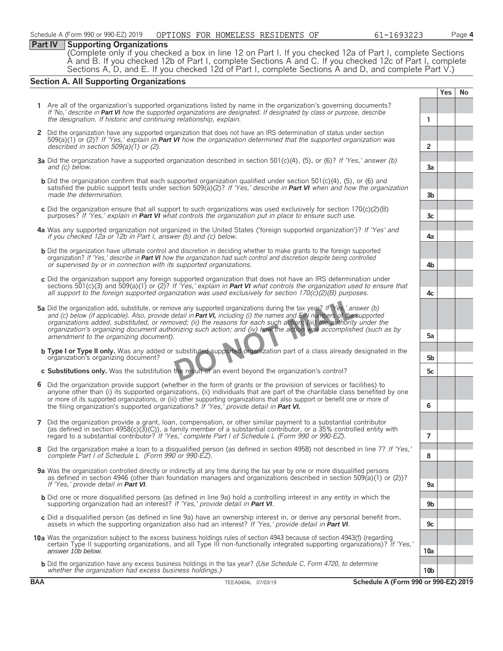#### **Part IV Supporting Organizations**

(Complete only if you checked a box in line 12 on Part I. If you checked 12a of Part I, complete Sections A and B. If you checked 12b of Part I, complete Sections A and C. If you checked 12c of Part I, complete Sections A, D, and E. If you checked 12d of Part I, complete Sections A and D, and complete Part V.)

#### **Section A. All Supporting Organizations**

**Yes No 1** Are all of the organization's supported organizations listed by name in the organization's governing documents? *If 'No,' describe in Part VI how the supported organizations are designated. If designated by class or purpose, describe the designation. If historic and continuing relationship, explain.* **1 2** Did the organization have any supported organization that does not have an IRS determination of status under section 509(a)(1) or (2)? *If 'Yes,' explain in Part VI how the organization determined that the supported organization was described in section 509(a)(1) or (2).* **2 3a** Did the organization have a supported organization described in section 501(c)(4), (5), or (6)? *If 'Yes,' answer (b) and (c) below.* **3a b** Did the organization confirm that each supported organization qualified under section 501(c)(4), (5), or (6) and satisfied the public support tests under section 509(a)(2)? *If 'Yes,' describe in Part VI when and how the organization made the determination.* **3b c** Did the organization ensure that all support to such organizations was used exclusively for section 170(c)(2)(B) purposes? *If 'Yes,' explain in Part VI what controls the organization put in place to ensure such use.*  $\begin{bmatrix} 1 & 3c \\ 2c & 3c \end{bmatrix}$  *3c* **4a** Was any supported organization not organized in the United States ('foreign supported organization')? *If 'Yes' and if you checked 12a or 12b in Part I, answer (b) and (c) below.* **4a b** Did the organization have ultimate control and discretion in deciding whether to make grants to the foreign supported organization? *If 'Yes,' describe in Part VI how the organization had such control and discretion despite being controlled or supervised by or in connection with its supported organizations.* **4b c** Did the organization support any foreign supported organization that does not have an IRS determination under sections 501(c)(3) and 509(a)(1) or (2)? *If 'Yes,' explain in Part VI what controls the organization used to ensure that all support to the foreign supported organization was used exclusively for section 170(c)(2)(B) purposes.* **4c 5a** Did the organization add, substitute, or remove any supported organizations during the tax year? *If 'Yes,' answer (b) and (c) below (if applicable). Also, provide detail in Part VI, including (i) the names and EIN numbers of the supported organizations added, substituted, or removed; (ii) the reasons for each such action; (iii) the authority under the organization's organizing document authorizing such action; and (iv) how the action was accomplished (such as by amendment to the organizing document).* **5a b Type I or Type II only.** Was any added or substituted supported organization part of a class already designated in the organization's organizing document? **5b c Substitutions only.** Was the substitution the result of an event beyond the organization's control? **5c 6** Did the organization provide support (whether in the form of grants or the provision of services or facilities) to anyone other than (i) its supported organizations, (ii) individuals that are part of the charitable class benefited by one or more of its supported organizations, or (iii) other supporting organizations that also support or benefit one or more of the filing organization's supported organizations? *If 'Yes,' provide detail in Part VI.* **6 7** Did the organization provide a grant, loan, compensation, or other similar payment to a substantial contributor (as defined in section 4958(c)(3)(C)), a family member of a substantial contributor, or a 35% controlled entity with regard to a substantial contributor? *If 'Yes,' complete Part I of Schedule L (Form 990 or 990-EZ).* **7 8** Did the organization make a loan to a disqualified person (as defined in section 4958) not described in line 7? *If 'Yes,' complete Part I of Schedule L (Form 990 or 990-EZ).* **8 9a** Was the organization controlled directly or indirectly at any time during the tax year by one or more disqualified persons as defined in section 4946 (other than foundation managers and organizations described in section 509(a)(1) or (2))? *If 'Yes,' provide detail in Part VI*. **9a** b Did one or more disqualified persons (as defined in line 9a) hold a controlling interest in any entity in which the<br>supporting organization had an interest? If 'Yes,' provide detail in Part VI. **c** Did a disqualified person (as defined in line 9a) have an ownership interest in, or derive any personal benefit from, assets in which the supporting organization also had an interest? *If 'Yes,' provide detail in Part VI*. **9c 10a** Was the organization subject to the excess business holdings rules of section 4943 because of section 4943(f) (regarding certain Type II supporting organizations, and all Type III non-functionally integrated supporting organizations)? *If 'Yes,' answer 10b below.* **10a b** Did the organization have any excess business holdings in the tax year? *(Use Schedule C, Form 4720, to determine whether the organization had excess business holdings.)* **10b**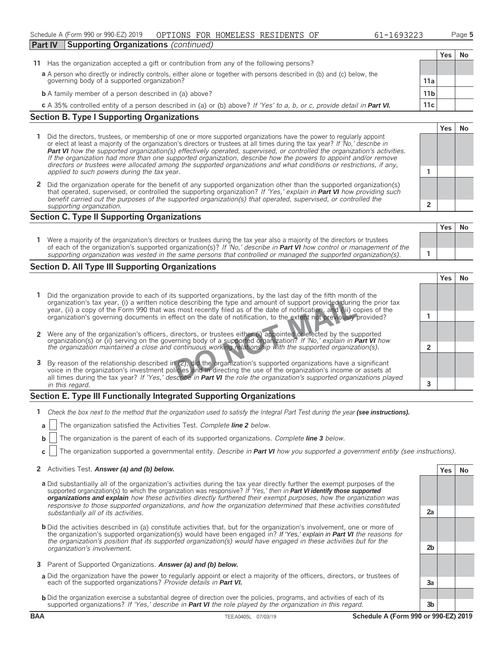| OPTIONS FOR HOMELESS RESIDENTS OF |  | 61-1693223 |     | Page ${\bf 5}$ |
|-----------------------------------|--|------------|-----|----------------|
| tions (continued)                 |  |            |     |                |
|                                   |  |            | Yes | <b>No</b>      |

|                                                                                                                           |                 | 1 e S |  |
|---------------------------------------------------------------------------------------------------------------------------|-----------------|-------|--|
| 11 Has the organization accepted a gift or contribution from any of the following persons?                                |                 |       |  |
| a A person who directly or indirectly controls, either alone or together with persons described in (b) and (c) below, the |                 |       |  |
| governing body of a supported organization?                                                                               | 11a             |       |  |
| <b>b</b> A family member of a person described in (a) above?                                                              | 11 <sub>b</sub> |       |  |
| c A 35% controlled entity of a person described in (a) or (b) above? If 'Yes' to a, b, or c, provide detail in Part VI.   | 11c             |       |  |

#### **Section B. Type I Supporting Organizations**

**Part IV Supporting Organizations** 

- **1** Did the directors, trustees, or membership of one or more supported organizations have the power to regularly appoint or elect at least a majority of the organization's directors or trustees at all times during the tax year? *If 'No,' describe in Part VI how the supported organization(s) effectively operated, supervised, or controlled the organization's activities. If the organization had more than one supported organization, describe how the powers to appoint and/or remove directors or trustees were allocated among the supported organizations and what conditions or restrictions, if any, applied to such powers during the tax* year. **1**
- **2** Did the organization operate for the benefit of any supported organization other than the supported organization(s) that operated, supervised, or controlled the supporting organization? *If 'Yes,' explain in Part VI how providing such benefit carried out the purposes of the supported organization(s) that operated, supervised, or controlled the supporting organization.* **2**

#### **Section C. Type II Supporting Organizations**

|                                                                                                                                                                                                                                                               | 1 es 1 | - IVC |
|---------------------------------------------------------------------------------------------------------------------------------------------------------------------------------------------------------------------------------------------------------------|--------|-------|
| Were a majority of the organization's directors or trustees during the tax year also a majority of the directors or trustees<br>of each of the organization's supported organization(s)? If 'No,' describe in <b>Part VI</b> how control or management of the |        |       |
| supporting organization was vested in the same persons that controlled or managed the supported organization(s).                                                                                                                                              |        |       |

#### **Section D. All Type III Supporting Organizations**

|                                                                                                                                                                                                                                                                                                                                                                      | 'es |  |
|----------------------------------------------------------------------------------------------------------------------------------------------------------------------------------------------------------------------------------------------------------------------------------------------------------------------------------------------------------------------|-----|--|
| Did the organization provide to each of its supported organizations, by the last day of the fifth month of the<br>organization's tax year, (i) a written notice describing the type and amount of support provided during the prior tax<br>year, (ii) a copy of the Form 990 that was most recently filed as of the date of notification, and (iii) copies of the    |     |  |
| organization's governing documents in effect on the date of notification, to the extent not previously provided?                                                                                                                                                                                                                                                     |     |  |
| 2 Were any of the organization's officers, directors, or trustees either (i) appointed or elected by the supported                                                                                                                                                                                                                                                   |     |  |
| organization(s) or (ii) serving on the governing body of a supported organization? If No, explain in <b>Part VI</b> how<br>the organization maintained a close and continuous working relationship with the supported organization(s).                                                                                                                               |     |  |
| 3 By reason of the relationship described in (2), did the organization's supported organizations have a significant<br>voice in the organization's investment policies and in directing the use of the organization's income or assets at<br>all times during the tax year? If 'Yes,' describe in Part VI the role the organization's supported organizations played |     |  |
| in this regard.                                                                                                                                                                                                                                                                                                                                                      |     |  |

#### **Section E. Type III Functionally Integrated Supporting Organizations**

- **1** Check the box next to the method that the organization used to satisfy the Integral Part Test during the year (see instructions).
	- **a** The organization satisfied the Activities Test. *Complete line 2 below.*
	- **b** The organization is the parent of each of its supported organizations. *Complete line 3 below.*
	- **c** The organization supported a governmental entity. *Describe in Part VI how you supported a government entity (see instructions).*

#### **2** Activities Test. **Answer (a) and (b) below. Yes Western Constant Constant Constant Constant Constant Constant Constant Constant Constant Constant Constant Constant Constant Constant Constant Constant Constant Const**

- **a** Did substantially all of the organization's activities during the tax year directly further the exempt purposes of the supported organization(s) to which the organization was responsive? *If 'Yes,' then in Part VI identify those supported organizations and explain how these activities directly furthered their exempt purposes, how the organization was responsive to those supported organizations, and how the organization determined that these activities constituted substantially all of its activities.* **2a**
- **b** Did the activities described in (a) constitute activities that, but for the organization's involvement, one or more of the organization's supported organization(s) would have been engaged in? *If 'Yes,' explain in Part VI the reasons for the organization's position that its supported organization(s) would have engaged in these activities but for the organization's involvement.* **2b**
- **3** Parent of Supported Organizations. *Answer (a) and (b) below.*
- **a** Did the organization have the power to regularly appoint or elect a majority of the officers, directors, or trustees of each of the supported organizations? *Provide details in Part VI.* **3a**
- **b** Did the organization exercise a substantial degree of direction over the policies, programs, and activities of each of its supported organizations? *If 'Yes,' describe in Part VI the role played by the organization in this regard.* **3b**

**Yes No**

**Yes No**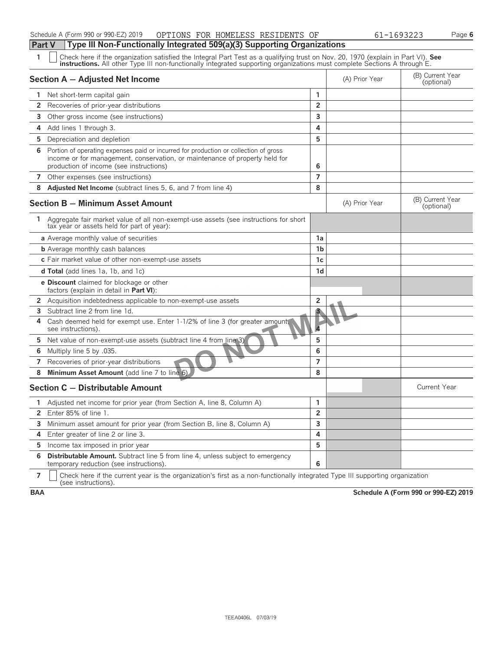| 1                     | Check here if the organization satisfied the Integral Part Test as a qualifying trust on Nov. 20, 1970 (explain in Part VI). See<br><b>instructions.</b> All other Type III non-functionally integrated supporting organizations must complete Sections A through E. |                         |                |                                |
|-----------------------|----------------------------------------------------------------------------------------------------------------------------------------------------------------------------------------------------------------------------------------------------------------------|-------------------------|----------------|--------------------------------|
|                       | Section A - Adjusted Net Income                                                                                                                                                                                                                                      |                         | (A) Prior Year | (B) Current Year<br>(optional) |
|                       | <b>1</b> Net short-term capital gain                                                                                                                                                                                                                                 | 1                       |                |                                |
| $\mathbf{2}^{\prime}$ | Recoveries of prior-year distributions                                                                                                                                                                                                                               | $\overline{2}$          |                |                                |
| 3                     | Other gross income (see instructions)                                                                                                                                                                                                                                | 3                       |                |                                |
| 4                     | Add lines 1 through 3.                                                                                                                                                                                                                                               | 4                       |                |                                |
| 5                     | Depreciation and depletion                                                                                                                                                                                                                                           | 5                       |                |                                |
| 6                     | Portion of operating expenses paid or incurred for production or collection of gross<br>income or for management, conservation, or maintenance of property held for<br>production of income (see instructions)                                                       | 6                       |                |                                |
|                       | 7 Other expenses (see instructions)                                                                                                                                                                                                                                  | $\overline{7}$          |                |                                |
| 8                     | Adjusted Net Income (subtract lines 5, 6, and 7 from line 4)                                                                                                                                                                                                         | 8                       |                |                                |
|                       | <b>Section B - Minimum Asset Amount</b>                                                                                                                                                                                                                              |                         | (A) Prior Year | (B) Current Year<br>(optional) |
| 1.                    | Aggregate fair market value of all non-exempt-use assets (see instructions for short<br>tax year or assets held for part of year):                                                                                                                                   |                         |                |                                |
|                       | a Average monthly value of securities                                                                                                                                                                                                                                | 1a                      |                |                                |
|                       | <b>b</b> Average monthly cash balances                                                                                                                                                                                                                               | 1 <sub>b</sub>          |                |                                |
|                       | c Fair market value of other non-exempt-use assets                                                                                                                                                                                                                   | 1c                      |                |                                |
|                       | d Total (add lines 1a, 1b, and 1c)                                                                                                                                                                                                                                   | 1 <sub>d</sub>          |                |                                |
|                       | <b>e Discount</b> claimed for blockage or other<br>factors (explain in detail in <b>Part VI</b> ):                                                                                                                                                                   |                         |                |                                |
|                       | <b>2</b> Acquisition indebtedness applicable to non-exempt-use assets                                                                                                                                                                                                | $\overline{\mathbf{c}}$ |                |                                |
| 3                     | Subtract line 2 from line 1d.                                                                                                                                                                                                                                        |                         |                |                                |
| 4                     | Cash deemed held for exempt use. Enter 1-1/2% of line 3 (for greater amount,<br>see instructions).                                                                                                                                                                   |                         |                |                                |
| 5.                    | Net value of non-exempt-use assets (subtract line 4 from line 3)                                                                                                                                                                                                     | 5                       |                |                                |
| 6                     | Multiply line 5 by .035.                                                                                                                                                                                                                                             | 6                       |                |                                |
| 7                     | Recoveries of prior-year distributions                                                                                                                                                                                                                               | $\overline{7}$          |                |                                |
| 8                     | Minimum Asset Amount (add line 7 to line 6)                                                                                                                                                                                                                          | 8                       |                |                                |
|                       | Section C - Distributable Amount                                                                                                                                                                                                                                     |                         |                | <b>Current Year</b>            |
| 1                     | Adjusted net income for prior year (from Section A, line 8, Column A)                                                                                                                                                                                                | 1                       |                |                                |
| $\overline{2}$        | Enter 85% of line 1.                                                                                                                                                                                                                                                 | $\overline{2}$          |                |                                |
| 3                     | Minimum asset amount for prior year (from Section B, line 8, Column A)                                                                                                                                                                                               | 3                       |                |                                |
| 4                     | Enter greater of line 2 or line 3.                                                                                                                                                                                                                                   | 4                       |                |                                |
| 5.                    | Income tax imposed in prior year                                                                                                                                                                                                                                     | 5                       |                |                                |
| 6                     | <b>Distributable Amount.</b> Subtract line 5 from line 4, unless subject to emergency<br>temporary reduction (see instructions).                                                                                                                                     | 6                       |                |                                |

**7**  $\mid$  Check here if the current year is the organization's first as a non-functionally integrated Type III supporting organization (see instructions).

**BAA Schedule A (Form 990 or 990-EZ) 2019**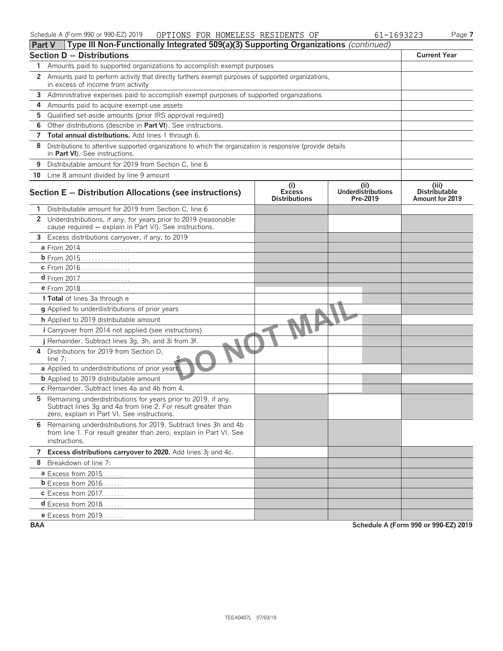| Part V       | Type III Non-Functionally Integrated 509(a)(3) Supporting Organizations (continued)                                                                                           |                                              |                                       |                                                  |
|--------------|-------------------------------------------------------------------------------------------------------------------------------------------------------------------------------|----------------------------------------------|---------------------------------------|--------------------------------------------------|
|              | <b>Section D - Distributions</b>                                                                                                                                              |                                              |                                       | <b>Current Year</b>                              |
| 1.           | Amounts paid to supported organizations to accomplish exempt purposes                                                                                                         |                                              |                                       |                                                  |
| $\mathbf{2}$ | Amounts paid to perform activity that directly furthers exempt purposes of supported organizations,<br>in excess of income from activity                                      |                                              |                                       |                                                  |
| 3            | Administrative expenses paid to accomplish exempt purposes of supported organizations                                                                                         |                                              |                                       |                                                  |
| 4            | Amounts paid to acquire exempt-use assets                                                                                                                                     |                                              |                                       |                                                  |
| 5.           | Qualified set-aside amounts (prior IRS approval required)                                                                                                                     |                                              |                                       |                                                  |
| 6            | Other distributions (describe in Part VI). See instructions.                                                                                                                  |                                              |                                       |                                                  |
|              | 7 Total annual distributions. Add lines 1 through 6.                                                                                                                          |                                              |                                       |                                                  |
| 8            | Distributions to attentive supported organizations to which the organization is responsive (provide details<br>in Part VI). See instructions.                                 |                                              |                                       |                                                  |
| 9            | Distributable amount for 2019 from Section C, line 6                                                                                                                          |                                              |                                       |                                                  |
|              | 10 Line 8 amount divided by line 9 amount                                                                                                                                     |                                              |                                       |                                                  |
|              | Section E - Distribution Allocations (see instructions)                                                                                                                       | (i)<br><b>Excess</b><br><b>Distributions</b> | (i)<br>Underdistributions<br>Pre-2019 | (iii)<br><b>Distributable</b><br>Amount for 2019 |
|              | Distributable amount for 2019 from Section C, line 6                                                                                                                          |                                              |                                       |                                                  |
|              | 2 Underdistributions, if any, for years prior to 2019 (reasonable<br>cause required - explain in Part VI). See instructions.                                                  |                                              |                                       |                                                  |
| 3            | Excess distributions carryover, if any, to 2019                                                                                                                               |                                              |                                       |                                                  |
|              | a From 2014                                                                                                                                                                   |                                              |                                       |                                                  |
|              | b From 2015                                                                                                                                                                   |                                              |                                       |                                                  |
|              | c From 2016                                                                                                                                                                   |                                              |                                       |                                                  |
|              | <b>d</b> From 2017.                                                                                                                                                           |                                              |                                       |                                                  |
|              | e From 2018                                                                                                                                                                   |                                              |                                       |                                                  |
|              | f Total of lines 3a through e                                                                                                                                                 |                                              |                                       |                                                  |
|              | g Applied to underdistributions of prior years                                                                                                                                |                                              |                                       |                                                  |
|              | h Applied to 2019 distributable amount                                                                                                                                        |                                              |                                       |                                                  |
|              | <i>i</i> Carryover from 2014 not applied (see instructions)                                                                                                                   |                                              |                                       |                                                  |
|              | j Remainder. Subtract lines 3g, 3h, and 3i from 3f.                                                                                                                           |                                              |                                       |                                                  |
| 4            | Distributions for 2019 from Section D,<br>line $7:$                                                                                                                           |                                              |                                       |                                                  |
|              | a Applied to underdistributions of prior years                                                                                                                                |                                              |                                       |                                                  |
|              | <b>b</b> Applied to 2019 distributable amount                                                                                                                                 |                                              |                                       |                                                  |
|              | c Remainder. Subtract lines 4a and 4b from 4.                                                                                                                                 |                                              |                                       |                                                  |
| 5.           | Remaining underdistributions for years prior to 2019, if any.<br>Subtract lines 3g and 4a from line 2. For result greater than<br>zero, explain in Part VI. See instructions. |                                              |                                       |                                                  |
|              | 6 Remaining underdistributions for 2019. Subtract lines 3h and 4b<br>from line 1. For result greater than zero, explain in Part VI. See<br>instructions.                      |                                              |                                       |                                                  |
|              | 7 Excess distributions carryover to 2020. Add lines 3j and 4c.                                                                                                                |                                              |                                       |                                                  |
|              | 8 Breakdown of line 7:                                                                                                                                                        |                                              |                                       |                                                  |
|              | <b>a</b> Excess from 2015                                                                                                                                                     |                                              |                                       |                                                  |
|              | <b>b</b> Excess from 2016                                                                                                                                                     |                                              |                                       |                                                  |
|              | c Excess from 2017.                                                                                                                                                           |                                              |                                       |                                                  |
|              | $d$ Excess from 2018                                                                                                                                                          |                                              |                                       |                                                  |
|              | e Excess from 2019.                                                                                                                                                           |                                              |                                       |                                                  |

**BAA Schedule A (Form 990 or 990-EZ) 2019**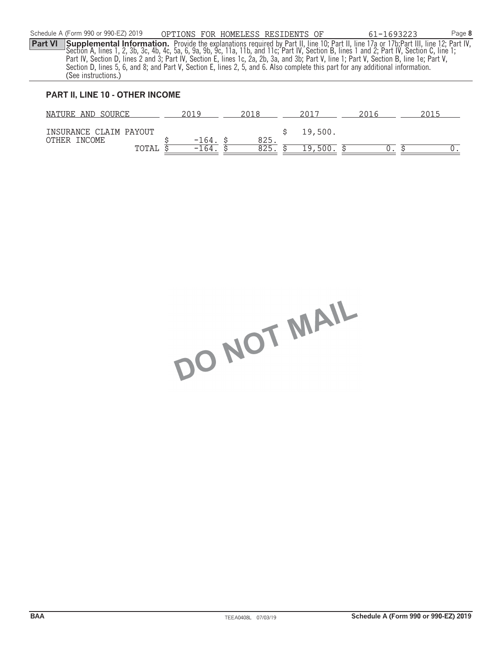Part VI Supplemental Information. Provide the explanations required by Part II, line 10; Part II, line 17a or 17b;Part III, line 12; Part IV,<br>Section A, lines 1, 2, 3b, 3c, 4b, 4c, 5a, 6, 9a, 9b, 9c, 11a, 11b, and 11c; Par Part IV, Section D, lines 2 and 3; Part IV, Section E, lines 1c, 2a, 2b, 3a, and 3b; Part V, line 1; Part V, Section B, line 1e; Part V, Section D, lines 5, 6, and 8; and Part V, Section E, lines 2, 5, and 6. Also complete this part for any additional information. (See instructions.)

#### **PART II, LINE 10 - OTHER INCOME**

| NATURE AND<br>SOURCE            |                                          |             |          |  | 201 |
|---------------------------------|------------------------------------------|-------------|----------|--|-----|
| INSURANCE CLAIM PAYOUT          |                                          |             | 19,500.  |  |     |
| <b>INCOME</b><br>OTHER<br>TOTAL | -164.<br>.64<br>$\overline{\phantom{0}}$ | 825<br>825. | 500<br>a |  |     |

DO NOT MAIL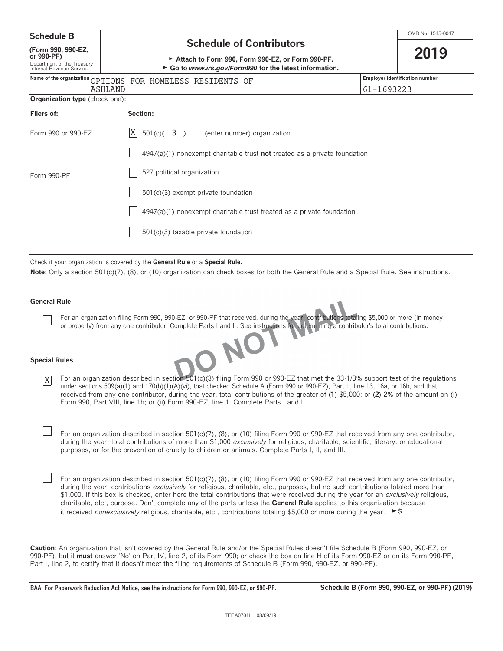**Schedule B**  $\overline{B}$  **Schedule B**  $\overline{B}$  **Schedule B**  $\overline{B}$  **Schedule B**  $\overline{B}$  **Schedule B**  $\overline{B}$  **SC EXECULE B**  $\overline{B}$  **SCHEDULE B**  $\overline{B}$  **SCHEDULE B**  $\overline{B}$  **SCHEDULE B**  $\overline{B}$  **SCHEDULE B**  $\overline{B}$ 

**(Form 990, 990-EZ,**

## **Schedule of Contributors**

| (Form 990, 990-EZ,<br>or 990-PF)<br>Department of the Treasury<br>Internal Revenue Service | Attach to Form 990, Form 990-EZ, or Form 990-PF.<br>$\triangleright$ Go to www.irs.gov/Form990 for the latest information. | 2019                                  |
|--------------------------------------------------------------------------------------------|----------------------------------------------------------------------------------------------------------------------------|---------------------------------------|
|                                                                                            | Name of the organization ODTIONS FOD HOMET FSS DESTDENTS OF                                                                | <b>Employer identification number</b> |
|                                                                                            |                                                                                                                            |                                       |

| ……AND                                                                                                            | <u>_ _ _</u><br>ັບ             |
|------------------------------------------------------------------------------------------------------------------|--------------------------------|
|                                                                                                                  |                                |
| Name of the organization<br>FOR<br>$\Lambda$ nm $\tau$<br>∩⊏<br>LIONS "<br>RES<br>HOMELESS<br>. I J P. I V<br>Uľ | Employer identification number |

#### **Organization type** (check one):

| Filers of:         | Section:                                                                    |
|--------------------|-----------------------------------------------------------------------------|
| Form 990 or 990-EZ | $ X $ 501(c)( 3) (enter number) organization                                |
|                    | $4947(a)(1)$ nonexempt charitable trust not treated as a private foundation |
| Form 990-PF        | 527 political organization                                                  |
|                    | 501(c)(3) exempt private foundation                                         |
|                    | 4947(a)(1) nonexempt charitable trust treated as a private foundation       |
|                    | 501(c)(3) taxable private foundation                                        |

Check if your organization is covered by the **General Rule** or a **Special Rule.**

Note: Only a section 501(c)(7), (8), or (10) organization can check boxes for both the General Rule and a Special Rule. See instructions.

N

#### **General Rule**

For an organization filing Form 990, 990-EZ, or 990-PF that received, during the year, contributions totaling \$5,000 or more (in money or property) from any one contributor. Complete Parts I and II. See instructions for determining a contributor's total contributions.

#### **Special Rules**

For an organization described in section 501(c)(3) filing Form 990 or 990-EZ that met the 33-1/3% support test of the regulations under sections 509(a)(1) and 170(b)(1)(A)(vi), that checked Schedule A (Form 990 or 990-EZ), Part II, line 13, 16a, or 16b, and that received from any one contributor, during the year, total contributions of the greater of (**1**) \$5,000; or (**2**) 2% of the amount on (i) Form 990, Part VIII, line 1h; or (ii) Form 990-EZ, line 1. Complete Parts I and II. X

For an organization described in section 501(c)(7), (8), or (10) filing Form 990 or 990-EZ that received from any one contributor, during the year, total contributions of more than \$1,000 *exclusively* for religious, charitable, scientific, literary, or educational purposes, or for the prevention of cruelty to children or animals. Complete Parts I, II, and III.

For an organization described in section 501(c)(7), (8), or (10) filing Form 990 or 990-EZ that received from any one contributor, during the year, contributions *exclusively* for religious, charitable, etc., purposes, but no such contributions totaled more than \$1,000. If this box is checked, enter here the total contributions that were received during the year for an *exclusively* religious, charitable, etc., purpose. Don't complete any of the parts unless the **General Rule** applies to this organization because it received *nonexclusively* religious, charitable, etc., contributions totaling \$5,000 or more during the year .  $\blacktriangleright$ \$

**Caution:** An organization that isn't covered by the General Rule and/or the Special Rules doesn't file Schedule B (Form 990, 990-EZ, or 990-PF), but it **must** answer 'No' on Part IV, line 2, of its Form 990; or check the box on line H of its Form 990-EZ or on its Form 990-PF, Part I, line 2, to certify that it doesn't meet the filing requirements of Schedule B (Form 990, 990-EZ, or 990-PF).

**BAA For Paperwork Reduction Act Notice, see the instructions for Form 990, 990-EZ, or 990-PF. Schedule B (Form 990, 990-EZ, or 990-PF) (2019)**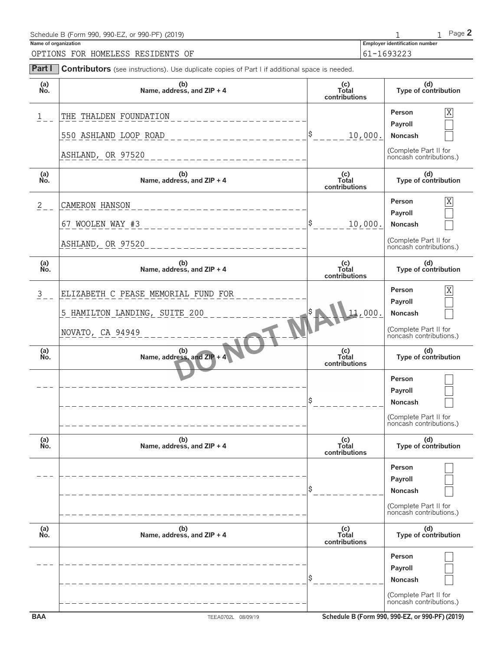| Schedule B (Form 990, 990-EZ, or 990-PF) (2019)                                                              |                                       | Page 2 |
|--------------------------------------------------------------------------------------------------------------|---------------------------------------|--------|
| Name of organization                                                                                         | <b>Employer identification number</b> |        |
| OPTIONS FOR HOMELESS RESIDENTS OF                                                                            | $61 - 1693223$                        |        |
| <b>Part I</b> Contributors (see instructions). Use duplicate copies of Part I if additional space is needed. |                                       |        |

| (a)<br>No.        | (b)<br>Name, address, and $ZIP + 4$                                                                     | (c)<br>Total<br>contributions | (d)<br>Type of contribution                                                                        |
|-------------------|---------------------------------------------------------------------------------------------------------|-------------------------------|----------------------------------------------------------------------------------------------------|
| 1                 | THE THALDEN FOUNDATION<br>550 ASHLAND LOOP ROAD                                                         | I\$<br>10,000.                | $\overline{\text{X}}$<br>Person<br>Payroll<br>Noncash                                              |
|                   | ASHLAND, OR 97520<br>________________________                                                           |                               | (Complete Part II for<br>noncash contributions.)                                                   |
| (a)<br>No.        | (b)<br>Name, address, and ZIP + 4                                                                       | (c)<br>Total<br>contributions | (d)<br>Type of contribution                                                                        |
| $\frac{2}{2}$     | CAMERON HANSON<br>67 WOOLEN WAY #3<br>________________<br>ASHLAND, OR 97520<br>________________________ | 10,000.                       | $\overline{X}$<br>Person<br>Payroll<br>Noncash<br>(Complete Part II for<br>noncash contributions.) |
| (a)<br>No.        | (b)<br>Name, address, and ZIP + 4                                                                       | (c)<br>Total<br>contributions | (d)<br>Type of contribution                                                                        |
| $\frac{3}{2}$ – – | ELIZABETH C PEASE MEMORIAL FUND FOR<br>5 HAMILTON LANDING, SUITE 200<br>NOVATO, CA 94949                | 11,000.                       | $\overline{X}$<br>Person<br>Payroll<br>Noncash<br>(Complete Part II for<br>noncash contributions.) |
| (a)<br>No.        | (b)<br>Name, address, and $ZIP + 4$                                                                     | (c)<br>Total<br>contributions | (d)<br>Type of contribution                                                                        |
|                   | ----                                                                                                    |                               | Person<br>Payroll<br>Noncash<br>(Complete Part II for<br>noncash contributions.)                   |
| (a)<br>No.        | (b)<br>Name, address, and ZIP + 4                                                                       | (c)<br>Total<br>contributions | (d)<br>Type of contribution                                                                        |
|                   |                                                                                                         |                               | Person<br>Payroll<br>Noncash<br>(Complete Part II for<br>noncash contributions.)                   |
| (a)<br>No.        | (b)<br>Name, address, and ZIP + 4                                                                       | (c)<br>Total<br>contributions | (d)<br>Type of contribution                                                                        |
|                   |                                                                                                         |                               | Person<br>Payroll<br>Noncash<br>(Complete Part II for<br>noncash contributions.)                   |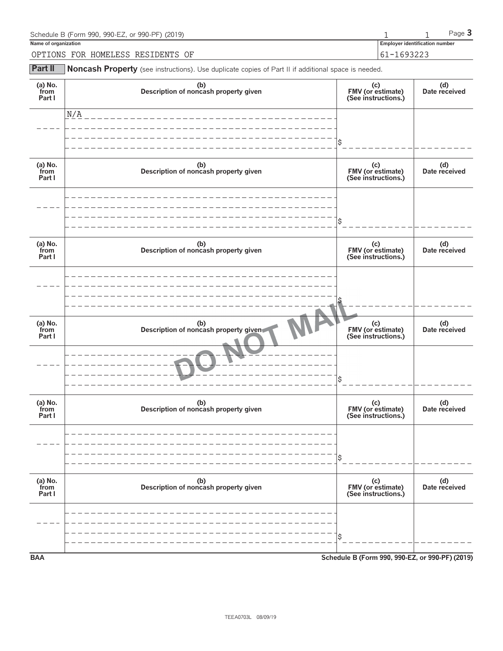| Schedule B (Form 990, 990-EZ, or 990-PF) (2019) |                                       |  | $P$ aqe $\bullet$ |
|-------------------------------------------------|---------------------------------------|--|-------------------|
| Name of organization                            | <b>Employer identification number</b> |  |                   |
| OPTIONS<br>FOR<br>HOMELESS RESIDENTS<br>- OF    | 1693223<br>$-1$                       |  |                   |

**Part II** Noncash Property (see instructions). Use duplicate copies of Part II if additional space is needed.

| (a) $No.$ from<br>Part I    | (b)<br>Description of noncash property given | (c)<br>FMV (or estimate)<br>(See instructions.) | (d)<br>Date received |
|-----------------------------|----------------------------------------------|-------------------------------------------------|----------------------|
|                             | N/A                                          |                                                 |                      |
|                             |                                              |                                                 |                      |
| (a) $No.$ from<br>Part I    | (b)<br>Description of noncash property given | (c)<br>FMV (or estimate)<br>(See instructions.) | (d)<br>Date received |
|                             |                                              |                                                 |                      |
|                             |                                              |                                                 |                      |
| (a) No.<br>from<br>Part I   | (b)<br>Description of noncash property given | (c)<br>FMV (or estimate)<br>(See instructions.) | (d)<br>Date received |
|                             |                                              |                                                 |                      |
|                             |                                              |                                                 |                      |
| $(a)$ No.<br>from<br>Part I | (b)<br>Description of noncash property given | (c)<br>FMV (or estimate)<br>(See instructions.) | (d)<br>Date received |
|                             |                                              |                                                 |                      |
|                             |                                              |                                                 |                      |
| (a) $No.$ from<br>Part I    | (b)<br>Description of noncash property given | (c)<br>FMV (or estimate)<br>(See instructions.) | (d)<br>Date received |
|                             |                                              |                                                 |                      |
|                             |                                              | \$                                              |                      |
| (a) $No.$ from<br>Part I    | (b)<br>Description of noncash property given | (c)<br>FMV (or estimate)<br>(See instructions.) | (d)<br>Date received |
|                             |                                              |                                                 |                      |
|                             |                                              |                                                 |                      |
| <b>BAA</b>                  |                                              | Schedule B (Form 990, 990-EZ, or 990-PF) (2019) |                      |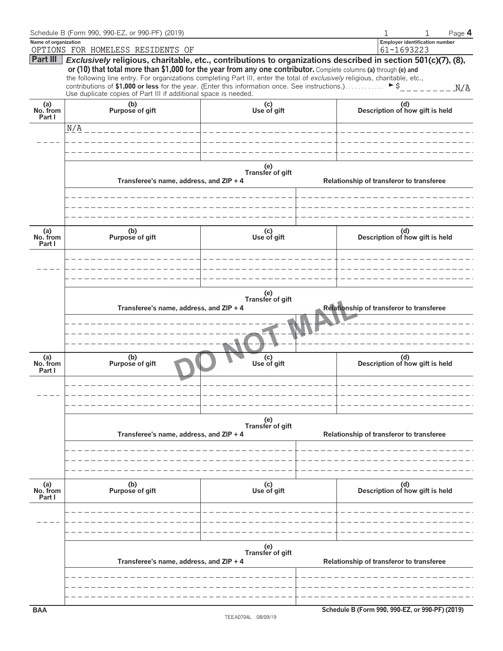|                           | Schedule B (Form 990, 990-EZ, or 990-PF) (2019)                                                                                                                                                                                                                                                                                                                                                                                                                                                                                                            |                                          |                                          | Page 4                                          |
|---------------------------|------------------------------------------------------------------------------------------------------------------------------------------------------------------------------------------------------------------------------------------------------------------------------------------------------------------------------------------------------------------------------------------------------------------------------------------------------------------------------------------------------------------------------------------------------------|------------------------------------------|------------------------------------------|-------------------------------------------------|
| Name of organization      | OPTIONS FOR HOMELESS RESIDENTS OF                                                                                                                                                                                                                                                                                                                                                                                                                                                                                                                          |                                          |                                          | Employer identification number<br>61-1693223    |
| Part III                  | Exclusively religious, charitable, etc., contributions to organizations described in section 501(c)(7), (8),<br>or (10) that total more than \$1,000 for the year from any one contributor. Complete columns (a) through (e) and<br>the following line entry. For organizations completing Part III, enter the total of exclusively religious, charitable, etc.,<br>contributions of \$1,000 or less for the year. (Enter this information once. See instructions.) $\triangleright$ \$<br>Use duplicate copies of Part III if additional space is needed. |                                          |                                          |                                                 |
| (a)<br>No. from<br>Part I | (b)<br>Purpose of gift                                                                                                                                                                                                                                                                                                                                                                                                                                                                                                                                     | (c)<br>Use of gift                       |                                          | (d)<br>Description of how gift is held          |
|                           | N/A                                                                                                                                                                                                                                                                                                                                                                                                                                                                                                                                                        |                                          |                                          |                                                 |
|                           |                                                                                                                                                                                                                                                                                                                                                                                                                                                                                                                                                            |                                          |                                          |                                                 |
|                           |                                                                                                                                                                                                                                                                                                                                                                                                                                                                                                                                                            |                                          |                                          |                                                 |
|                           | Transferee's name, address, and ZIP + 4                                                                                                                                                                                                                                                                                                                                                                                                                                                                                                                    | (e)<br>Transfer of gift                  |                                          | Relationship of transferor to transferee        |
|                           |                                                                                                                                                                                                                                                                                                                                                                                                                                                                                                                                                            |                                          |                                          |                                                 |
| (a)<br>No. from<br>Part I | (b)<br>Purpose of gift                                                                                                                                                                                                                                                                                                                                                                                                                                                                                                                                     | (c)<br>Use of gift                       |                                          | (d)<br>Description of how gift is held          |
|                           |                                                                                                                                                                                                                                                                                                                                                                                                                                                                                                                                                            |                                          |                                          |                                                 |
|                           | Transferee's name, address, and ZIP + 4                                                                                                                                                                                                                                                                                                                                                                                                                                                                                                                    | (e)<br>Transfer of gift                  |                                          | Relationship of transferor to transferee        |
| (a)<br>No. from<br>Part I | (b)<br>Purpose of gift                                                                                                                                                                                                                                                                                                                                                                                                                                                                                                                                     | (c)<br>Use of gift                       |                                          | (d)<br>Description of how gift is held          |
|                           |                                                                                                                                                                                                                                                                                                                                                                                                                                                                                                                                                            |                                          |                                          |                                                 |
|                           | Transferee's name, address, and ZIP + 4                                                                                                                                                                                                                                                                                                                                                                                                                                                                                                                    | Relationship of transferor to transferee |                                          |                                                 |
| (a)<br>No. from<br>Part I | (b)<br>Purpose of gift                                                                                                                                                                                                                                                                                                                                                                                                                                                                                                                                     | (c)<br>Use of gift                       |                                          | (d)<br>Description of how gift is held          |
|                           |                                                                                                                                                                                                                                                                                                                                                                                                                                                                                                                                                            |                                          |                                          |                                                 |
|                           | Transferee's name, address, and ZIP + 4                                                                                                                                                                                                                                                                                                                                                                                                                                                                                                                    |                                          | Relationship of transferor to transferee |                                                 |
|                           |                                                                                                                                                                                                                                                                                                                                                                                                                                                                                                                                                            |                                          |                                          |                                                 |
| <b>BAA</b>                |                                                                                                                                                                                                                                                                                                                                                                                                                                                                                                                                                            |                                          |                                          | Schedule B (Form 990, 990-EZ, or 990-PF) (2019) |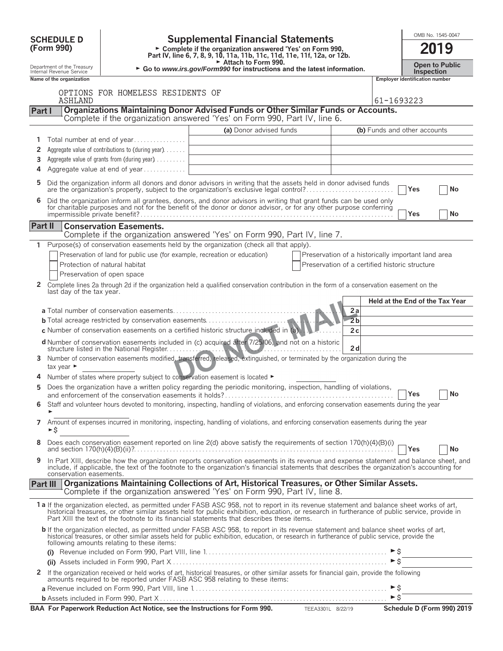|                 |                                                                                                                                                                                                                                              |                                                                                   |                                                                                                                                                                                                                                                                                                                                                                                        |                                                    |                                           | OMB No. 1545-0047                     |                                            |    |
|-----------------|----------------------------------------------------------------------------------------------------------------------------------------------------------------------------------------------------------------------------------------------|-----------------------------------------------------------------------------------|----------------------------------------------------------------------------------------------------------------------------------------------------------------------------------------------------------------------------------------------------------------------------------------------------------------------------------------------------------------------------------------|----------------------------------------------------|-------------------------------------------|---------------------------------------|--------------------------------------------|----|
|                 | <b>Supplemental Financial Statements</b><br><b>SCHEDULE D</b><br>(Form 990)<br>► Complete if the organization answered 'Yes' on Form 990,<br>Part IV, line 6, 7, 8, 9, 10, 11a, 11b, 11c, 11d, 11e, 11f, 12a, or 12b.<br>Attach to Form 990. |                                                                                   |                                                                                                                                                                                                                                                                                                                                                                                        |                                                    |                                           |                                       | 19                                         |    |
|                 | Department of the Treasury<br>Internal Revenue Service                                                                                                                                                                                       |                                                                                   | ► Go to www.irs.gov/Form990 for instructions and the latest information.                                                                                                                                                                                                                                                                                                               |                                                    |                                           |                                       | <b>Open to Public</b><br><b>Inspection</b> |    |
|                 | Name of the organization                                                                                                                                                                                                                     |                                                                                   |                                                                                                                                                                                                                                                                                                                                                                                        |                                                    |                                           | <b>Employer identification number</b> |                                            |    |
|                 | <b>ASHLAND</b>                                                                                                                                                                                                                               | OPTIONS FOR HOMELESS RESIDENTS OF                                                 |                                                                                                                                                                                                                                                                                                                                                                                        |                                                    |                                           | 61-1693223                            |                                            |    |
| Part I          |                                                                                                                                                                                                                                              |                                                                                   | Organizations Maintaining Donor Advised Funds or Other Similar Funds or Accounts.                                                                                                                                                                                                                                                                                                      |                                                    |                                           |                                       |                                            |    |
|                 |                                                                                                                                                                                                                                              |                                                                                   | Complete if the organization answered 'Yes' on Form 990, Part IV, line 6.                                                                                                                                                                                                                                                                                                              |                                                    |                                           |                                       |                                            |    |
|                 |                                                                                                                                                                                                                                              |                                                                                   | (a) Donor advised funds                                                                                                                                                                                                                                                                                                                                                                |                                                    |                                           | (b) Funds and other accounts          |                                            |    |
| 2               |                                                                                                                                                                                                                                              | Total number at end of year<br>Aggregate value of contributions to (during year). |                                                                                                                                                                                                                                                                                                                                                                                        |                                                    |                                           |                                       |                                            |    |
| 3               |                                                                                                                                                                                                                                              | Aggregate value of grants from (during year)                                      |                                                                                                                                                                                                                                                                                                                                                                                        |                                                    |                                           |                                       |                                            |    |
| 4               |                                                                                                                                                                                                                                              | Aggregate value at end of year                                                    | <u> 1980 - Johann Barbara, martxa alemaniar amerikan a</u>                                                                                                                                                                                                                                                                                                                             |                                                    |                                           |                                       |                                            |    |
| 5               |                                                                                                                                                                                                                                              |                                                                                   | Did the organization inform all donors and donor advisors in writing that the assets held in donor advised funds<br>are the organization's property, subject to the organization's exclusive legal control?                                                                                                                                                                            |                                                    |                                           | Yes                                   |                                            | No |
| 6               |                                                                                                                                                                                                                                              |                                                                                   | Did the organization inform all grantees, donors, and donor advisors in writing that grant funds can be used only                                                                                                                                                                                                                                                                      |                                                    |                                           |                                       |                                            |    |
|                 |                                                                                                                                                                                                                                              |                                                                                   | for charitable purposes and not for the benefit of the donor or donor advisor, or for any other purpose conferring                                                                                                                                                                                                                                                                     |                                                    |                                           | Yes                                   |                                            | No |
| <b>Part II</b>  |                                                                                                                                                                                                                                              | <b>Conservation Easements.</b>                                                    |                                                                                                                                                                                                                                                                                                                                                                                        |                                                    |                                           |                                       |                                            |    |
|                 |                                                                                                                                                                                                                                              |                                                                                   | Complete if the organization answered 'Yes' on Form 990, Part IV, line 7.                                                                                                                                                                                                                                                                                                              |                                                    |                                           |                                       |                                            |    |
| 1.              |                                                                                                                                                                                                                                              |                                                                                   | Purpose(s) of conservation easements held by the organization (check all that apply).                                                                                                                                                                                                                                                                                                  |                                                    |                                           |                                       |                                            |    |
|                 |                                                                                                                                                                                                                                              | Preservation of land for public use (for example, recreation or education)        |                                                                                                                                                                                                                                                                                                                                                                                        | Preservation of a historically important land area |                                           |                                       |                                            |    |
|                 |                                                                                                                                                                                                                                              | Protection of natural habitat                                                     |                                                                                                                                                                                                                                                                                                                                                                                        | Preservation of a certified historic structure     |                                           |                                       |                                            |    |
|                 |                                                                                                                                                                                                                                              | Preservation of open space                                                        |                                                                                                                                                                                                                                                                                                                                                                                        |                                                    |                                           |                                       |                                            |    |
| 2               | last day of the tax year.                                                                                                                                                                                                                    |                                                                                   | Complete lines 2a through 2d if the organization held a qualified conservation contribution in the form of a conservation easement on the                                                                                                                                                                                                                                              |                                                    |                                           |                                       |                                            |    |
|                 |                                                                                                                                                                                                                                              |                                                                                   |                                                                                                                                                                                                                                                                                                                                                                                        | 2a                                                 |                                           | Held at the End of the Tax Year       |                                            |    |
|                 |                                                                                                                                                                                                                                              |                                                                                   | <b>b</b> Total acreage restricted by conservation easements                                                                                                                                                                                                                                                                                                                            | $\overline{2}b$                                    |                                           |                                       |                                            |    |
|                 |                                                                                                                                                                                                                                              |                                                                                   | c Number of conservation easements on a certified historic structure included in (a)                                                                                                                                                                                                                                                                                                   | 2c                                                 |                                           |                                       |                                            |    |
|                 |                                                                                                                                                                                                                                              |                                                                                   | d Number of conservation easements included in (c) acquired after 7/25/06, and not on a historic                                                                                                                                                                                                                                                                                       | 2d                                                 |                                           |                                       |                                            |    |
| 3.              | tax year $\blacktriangleright$                                                                                                                                                                                                               |                                                                                   | Number of conservation easements modified, transferred, released, extinguished, or terminated by the organization during the                                                                                                                                                                                                                                                           |                                                    |                                           |                                       |                                            |    |
|                 |                                                                                                                                                                                                                                              | Number of states where property subject to conservation easement is located ▶     |                                                                                                                                                                                                                                                                                                                                                                                        |                                                    |                                           |                                       |                                            |    |
| 5               |                                                                                                                                                                                                                                              |                                                                                   | Does the organization have a written policy regarding the periodic monitoring, inspection, handling of violations,                                                                                                                                                                                                                                                                     |                                                    |                                           |                                       |                                            | No |
| 6               |                                                                                                                                                                                                                                              |                                                                                   | Staff and volunteer hours devoted to monitoring, inspecting, handling of violations, and enforcing conservation easements during the year                                                                                                                                                                                                                                              |                                                    |                                           |                                       |                                            |    |
| 7               | ►\$                                                                                                                                                                                                                                          |                                                                                   | Amount of expenses incurred in monitoring, inspecting, handling of violations, and enforcing conservation easements during the year                                                                                                                                                                                                                                                    |                                                    |                                           |                                       |                                            |    |
| 8               |                                                                                                                                                                                                                                              |                                                                                   | Does each conservation easement reported on line 2(d) above satisfy the requirements of section 170(h)(4)(B)(i)                                                                                                                                                                                                                                                                        |                                                    |                                           | <b>PYes</b>                           |                                            | No |
| 9               | conservation easements.                                                                                                                                                                                                                      |                                                                                   | In Part XIII, describe how the organization reports conservation easements in its revenue and expense statement and balance sheet, and<br>include, if applicable, the text of the footnote to the organization's financial statements that describes the organization's accounting for                                                                                                 |                                                    |                                           |                                       |                                            |    |
| <b>Part III</b> |                                                                                                                                                                                                                                              |                                                                                   | Organizations Maintaining Collections of Art, Historical Treasures, or Other Similar Assets.<br>Complete if the organization answered 'Yes' on Form 990, Part IV, line 8.                                                                                                                                                                                                              |                                                    |                                           |                                       |                                            |    |
|                 |                                                                                                                                                                                                                                              |                                                                                   | 1a If the organization elected, as permitted under FASB ASC 958, not to report in its revenue statement and balance sheet works of art,<br>historical treasures, or other similar assets held for public exhibition, education, or research in furtherance of public service, provide in<br>Part XIII the text of the footnote to its financial statements that describes these items. |                                                    |                                           |                                       |                                            |    |
|                 |                                                                                                                                                                                                                                              | following amounts relating to these items:                                        | <b>b</b> If the organization elected, as permitted under FASB ASC 958, to report in its revenue statement and balance sheet works of art,<br>historical treasures, or other similar assets held for public exhibition, education, or research in furtherance of public service, provide the                                                                                            |                                                    |                                           |                                       |                                            |    |
|                 |                                                                                                                                                                                                                                              |                                                                                   |                                                                                                                                                                                                                                                                                                                                                                                        |                                                    |                                           |                                       |                                            |    |
|                 |                                                                                                                                                                                                                                              |                                                                                   |                                                                                                                                                                                                                                                                                                                                                                                        |                                                    | $\triangleright$ \$                       |                                       |                                            |    |
| $\mathbf{2}$    |                                                                                                                                                                                                                                              |                                                                                   | If the organization received or held works of art, historical treasures, or other similar assets for financial gain, provide the following<br>amounts required to be reported under FASB ASC 958 relating to these items:                                                                                                                                                              |                                                    |                                           |                                       |                                            |    |
|                 |                                                                                                                                                                                                                                              |                                                                                   |                                                                                                                                                                                                                                                                                                                                                                                        |                                                    | $\triangleright$ \$<br>$\triangleright$ S |                                       |                                            |    |
|                 |                                                                                                                                                                                                                                              |                                                                                   | BAA For Paperwork Reduction Act Notice, see the Instructions for Form 990. TEEA3301L 8/22/19                                                                                                                                                                                                                                                                                           |                                                    |                                           |                                       |                                            |    |
|                 |                                                                                                                                                                                                                                              |                                                                                   |                                                                                                                                                                                                                                                                                                                                                                                        |                                                    |                                           | Schedule D (Form 990) 2019            |                                            |    |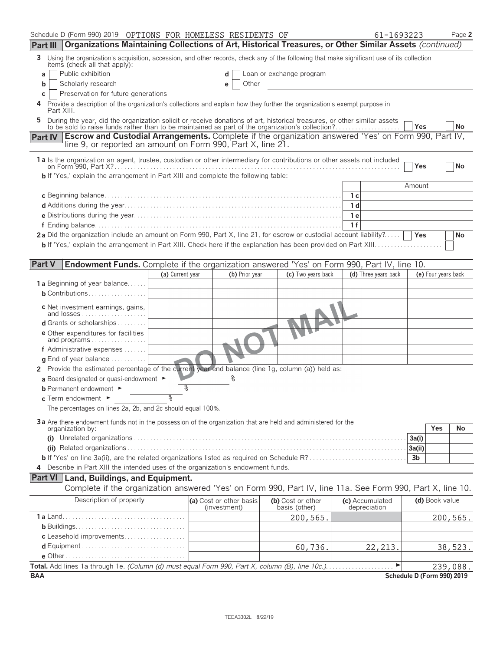| Schedule D (Form 990) 2019 OPTIONS FOR HOMELESS RESIDENTS OF                                                                                                                                                              |                  |                                         |                |                                    | 61-1693223                      |                            | Page 2    |
|---------------------------------------------------------------------------------------------------------------------------------------------------------------------------------------------------------------------------|------------------|-----------------------------------------|----------------|------------------------------------|---------------------------------|----------------------------|-----------|
| Organizations Maintaining Collections of Art, Historical Treasures, or Other Similar Assets (continued)<br>Part III                                                                                                       |                  |                                         |                |                                    |                                 |                            |           |
| Using the organization's acquisition, accession, and other records, check any of the following that make significant use of its collection<br>3<br>items (check all that apply):                                          |                  |                                         |                |                                    |                                 |                            |           |
| Public exhibition<br>a                                                                                                                                                                                                    |                  |                                         | d              | Loan or exchange program           |                                 |                            |           |
| Scholarly research<br>b                                                                                                                                                                                                   |                  |                                         | Other<br>е     |                                    |                                 |                            |           |
| Preservation for future generations<br>C                                                                                                                                                                                  |                  |                                         |                |                                    |                                 |                            |           |
| Provide a description of the organization's collections and explain how they further the organization's exempt purpose in<br>Part XIII.                                                                                   |                  |                                         |                |                                    |                                 |                            |           |
| During the year, did the organization solicit or receive donations of art, historical treasures, or other similar assets to be sold to raise funds rather than to be maintained as part of the organization's collection? |                  |                                         |                |                                    |                                 | Yes                        | <b>No</b> |
| <b>Escrow and Custodial Arrangements.</b> Complete if the organization answered 'Yes' on Form 990, Part IV,<br><b>Part IV</b><br>line 9, or reported an amount on Form 990, Part X, line 21.                              |                  |                                         |                |                                    |                                 |                            |           |
|                                                                                                                                                                                                                           |                  |                                         |                |                                    |                                 |                            |           |
| 1 a Is the organization an agent, trustee, custodian or other intermediary for contributions or other assets not included                                                                                                 |                  |                                         |                |                                    |                                 | Yes                        | No        |
| <b>b</b> If 'Yes,' explain the arrangement in Part XIII and complete the following table:                                                                                                                                 |                  |                                         |                |                                    |                                 |                            |           |
|                                                                                                                                                                                                                           |                  |                                         |                |                                    |                                 | Amount                     |           |
|                                                                                                                                                                                                                           |                  |                                         |                |                                    | 1 с                             |                            |           |
|                                                                                                                                                                                                                           |                  |                                         |                |                                    | 1 d                             |                            |           |
|                                                                                                                                                                                                                           |                  |                                         |                |                                    | 1 e                             |                            |           |
|                                                                                                                                                                                                                           |                  |                                         |                |                                    | 1f                              |                            |           |
| 2a Did the organization include an amount on Form 990, Part X, line 21, for escrow or custodial account liability?                                                                                                        |                  |                                         |                |                                    |                                 | Yes                        | No        |
|                                                                                                                                                                                                                           |                  |                                         |                |                                    |                                 |                            |           |
| <b>Part V</b><br><b>Endowment Funds.</b> Complete if the organization answered 'Yes' on Form 990, Part IV, line 10.                                                                                                       |                  |                                         |                |                                    |                                 |                            |           |
|                                                                                                                                                                                                                           | (a) Current year |                                         | (b) Prior year | (c) Two years back                 | (d) Three years back            | (e) Four years back        |           |
| <b>1 a</b> Beginning of year balance                                                                                                                                                                                      |                  |                                         |                |                                    |                                 |                            |           |
| <b>b</b> Contributions                                                                                                                                                                                                    |                  |                                         |                |                                    |                                 |                            |           |
|                                                                                                                                                                                                                           |                  |                                         |                |                                    |                                 |                            |           |
| c Net investment earnings, gains,<br>and losses                                                                                                                                                                           |                  |                                         |                |                                    |                                 |                            |           |
| <b>d</b> Grants or scholarships                                                                                                                                                                                           |                  |                                         |                |                                    |                                 |                            |           |
| e Other expenditures for facilities                                                                                                                                                                                       |                  |                                         |                |                                    |                                 |                            |           |
| and programs                                                                                                                                                                                                              |                  |                                         |                |                                    |                                 |                            |           |
| f Administrative expenses                                                                                                                                                                                                 |                  |                                         |                |                                    |                                 |                            |           |
| $\alpha$ End of year balance $\ldots \ldots \ldots$                                                                                                                                                                       |                  |                                         |                |                                    |                                 |                            |           |
| 2 Provide the estimated percentage of the current year end balance (line 1g, column (a)) held as:                                                                                                                         |                  |                                         |                |                                    |                                 |                            |           |
| a Board designated or quasi-endowment ►                                                                                                                                                                                   |                  |                                         |                |                                    |                                 |                            |           |
| <b>b</b> Permanent endowment ►                                                                                                                                                                                            |                  |                                         |                |                                    |                                 |                            |           |
| c Term endowment ►                                                                                                                                                                                                        | $\mathsf{P}$     |                                         |                |                                    |                                 |                            |           |
| The percentages on lines 2a, 2b, and 2c should equal 100%.                                                                                                                                                                |                  |                                         |                |                                    |                                 |                            |           |
| 3a Are there endowment funds not in the possession of the organization that are held and administered for the                                                                                                             |                  |                                         |                |                                    |                                 |                            |           |
| organization by:                                                                                                                                                                                                          |                  |                                         |                |                                    |                                 | Yes                        | No        |
|                                                                                                                                                                                                                           |                  |                                         |                |                                    |                                 | 3a(i)                      |           |
|                                                                                                                                                                                                                           |                  |                                         |                |                                    |                                 | 3a(ii)                     |           |
|                                                                                                                                                                                                                           |                  |                                         |                |                                    |                                 | 3 <sub>b</sub>             |           |
| 4 Describe in Part XIII the intended uses of the organization's endowment funds.                                                                                                                                          |                  |                                         |                |                                    |                                 |                            |           |
| <b>Part VI   Land, Buildings, and Equipment.</b><br>Complete if the organization answered 'Yes' on Form 990, Part IV, line 11a. See Form 990, Part X, line 10.                                                            |                  |                                         |                |                                    |                                 |                            |           |
|                                                                                                                                                                                                                           |                  |                                         |                |                                    |                                 |                            |           |
| Description of property                                                                                                                                                                                                   |                  | (a) Cost or other basis<br>(investment) |                | (b) Cost or other<br>basis (other) | (c) Accumulated<br>depreciation | (d) Book value             |           |
|                                                                                                                                                                                                                           |                  |                                         |                | 200,565.                           |                                 |                            | 200, 565. |
|                                                                                                                                                                                                                           |                  |                                         |                |                                    |                                 |                            |           |
| c Leasehold improvements                                                                                                                                                                                                  |                  |                                         |                |                                    |                                 |                            |           |
|                                                                                                                                                                                                                           |                  |                                         |                | 60,736.                            | 22, 213.                        |                            | 38,523.   |
|                                                                                                                                                                                                                           |                  |                                         |                |                                    |                                 |                            |           |
| Total. Add lines 1a through 1e. (Column (d) must equal Form 990, Part X, column (B), line 10c.)                                                                                                                           |                  |                                         |                |                                    |                                 |                            | 239,088.  |
| <b>BAA</b>                                                                                                                                                                                                                |                  |                                         |                |                                    |                                 | Schedule D (Form 990) 2019 |           |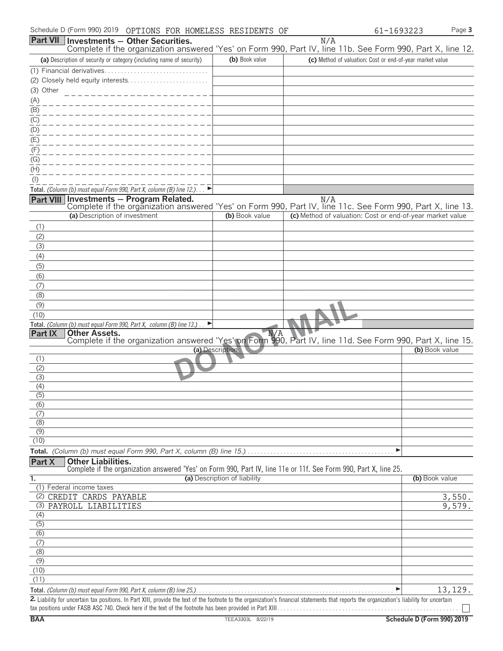|                         |                               | Part VII   Investments - Other Securities.                                   |                              | N/A                                                                                                                                                                                         |                |
|-------------------------|-------------------------------|------------------------------------------------------------------------------|------------------------------|---------------------------------------------------------------------------------------------------------------------------------------------------------------------------------------------|----------------|
|                         |                               |                                                                              |                              | Complete if the organization answered 'Yes' on Form 990, Part IV, line 11b. See Form 990, Part X, line 12.                                                                                  |                |
|                         |                               | (a) Description of security or category (including name of security)         | (b) Book value               | (c) Method of valuation: Cost or end-of-year market value                                                                                                                                   |                |
|                         |                               | (1) Financial derivatives                                                    |                              |                                                                                                                                                                                             |                |
|                         |                               |                                                                              |                              |                                                                                                                                                                                             |                |
| (3) Other               |                               | ______________                                                               |                              |                                                                                                                                                                                             |                |
| $\frac{(A)}{A}$         |                               |                                                                              |                              |                                                                                                                                                                                             |                |
| (B)                     |                               |                                                                              |                              |                                                                                                                                                                                             |                |
| $\frac{(C)}{C}$         |                               |                                                                              |                              |                                                                                                                                                                                             |                |
| (D)                     |                               |                                                                              |                              |                                                                                                                                                                                             |                |
| (E)                     |                               |                                                                              |                              |                                                                                                                                                                                             |                |
| (F)                     |                               |                                                                              |                              |                                                                                                                                                                                             |                |
| (G)<br>(H)              |                               |                                                                              |                              |                                                                                                                                                                                             |                |
| $($ l $)$               |                               |                                                                              |                              |                                                                                                                                                                                             |                |
|                         |                               | Total. (Column (b) must equal Form 990, Part X, column (B) line 12.). $\Box$ |                              |                                                                                                                                                                                             |                |
|                         |                               | Part VIII Investments - Program Related.                                     |                              | N/A                                                                                                                                                                                         |                |
|                         |                               |                                                                              |                              | Complete if the organization answered 'Yes' on Form 990, Part IV, line 11c. See Form 990, Part X, line 13.                                                                                  |                |
|                         | (a) Description of investment |                                                                              | (b) Book value               | (c) Method of valuation: Cost or end-of-year market value                                                                                                                                   |                |
| (1)                     |                               |                                                                              |                              |                                                                                                                                                                                             |                |
| (2)                     |                               |                                                                              |                              |                                                                                                                                                                                             |                |
| (3)                     |                               |                                                                              |                              |                                                                                                                                                                                             |                |
| (4)                     |                               |                                                                              |                              |                                                                                                                                                                                             |                |
| (5)                     |                               |                                                                              |                              |                                                                                                                                                                                             |                |
| (6)                     |                               |                                                                              |                              |                                                                                                                                                                                             |                |
| (7)                     |                               |                                                                              |                              |                                                                                                                                                                                             |                |
| (8)                     |                               |                                                                              |                              |                                                                                                                                                                                             |                |
| (9)                     |                               |                                                                              |                              |                                                                                                                                                                                             |                |
| (10)                    |                               |                                                                              |                              |                                                                                                                                                                                             |                |
|                         | <b>Other Assets.</b>          | Total. (Column (b) must equal Form 990, Part X, column (B) line $13.$ ).     |                              |                                                                                                                                                                                             |                |
| <b>Part IX</b>          |                               |                                                                              | N/A                          | Complete if the organization answered 'Yes' on Form 990, Part IV, line 11d. See Form 990, Part X, line 15.                                                                                  |                |
|                         |                               |                                                                              | (a) Description              |                                                                                                                                                                                             | (b) Book value |
| (1)                     |                               |                                                                              |                              |                                                                                                                                                                                             |                |
| (2)                     |                               |                                                                              |                              |                                                                                                                                                                                             |                |
| (3)                     |                               |                                                                              |                              |                                                                                                                                                                                             |                |
| (4)                     |                               |                                                                              |                              |                                                                                                                                                                                             |                |
| $\overline{(5)}$<br>(6) |                               |                                                                              |                              |                                                                                                                                                                                             |                |
| (7)                     |                               |                                                                              |                              |                                                                                                                                                                                             |                |
| (8)                     |                               |                                                                              |                              |                                                                                                                                                                                             |                |
| (9)                     |                               |                                                                              |                              |                                                                                                                                                                                             |                |
| (10)                    |                               |                                                                              |                              |                                                                                                                                                                                             |                |
|                         |                               |                                                                              |                              |                                                                                                                                                                                             |                |
| Part X                  | <b>Other Liabilities.</b>     |                                                                              |                              |                                                                                                                                                                                             |                |
|                         |                               |                                                                              |                              | Complete if the organization answered 'Yes' on Form 990, Part IV, line 11e or 11f. See Form 990, Part X, line 25.                                                                           |                |
| 1.                      | (1) Federal income taxes      |                                                                              | (a) Description of liability |                                                                                                                                                                                             | (b) Book value |
|                         | (2) CREDIT CARDS PAYABLE      |                                                                              |                              |                                                                                                                                                                                             | 3,550.         |
|                         | (3) PAYROLL LIABILITIES       |                                                                              |                              |                                                                                                                                                                                             | 9,579.         |
| (4)                     |                               |                                                                              |                              |                                                                                                                                                                                             |                |
| $\overline{(5)}$        |                               |                                                                              |                              |                                                                                                                                                                                             |                |
| $\overline{(6)}$        |                               |                                                                              |                              |                                                                                                                                                                                             |                |
| (7)                     |                               |                                                                              |                              |                                                                                                                                                                                             |                |
| (8)                     |                               |                                                                              |                              |                                                                                                                                                                                             |                |
| (9)                     |                               |                                                                              |                              |                                                                                                                                                                                             |                |
| (10)                    |                               |                                                                              |                              |                                                                                                                                                                                             |                |
| (11)                    |                               |                                                                              |                              |                                                                                                                                                                                             |                |
|                         |                               |                                                                              |                              | 2. Liability for uncertain tax positions, In Part XIII, provide the text of the footnote to the organization's financial statements that reports the organization's liability for uncertain | 13,129.        |

lity for uncertain tax positions. In Part XIII, provide the text of the footnote to the organization's financial statements that reports the organization's liability for uncertain tax positions under FASB ASC 740. Check here if the text of the footnote has been provided in Part XIII. . . . . . . . . . . . . . . . . . . . . . . . . . . . . . . . . . . . . . . . . . . . . . . . . . . . . . . .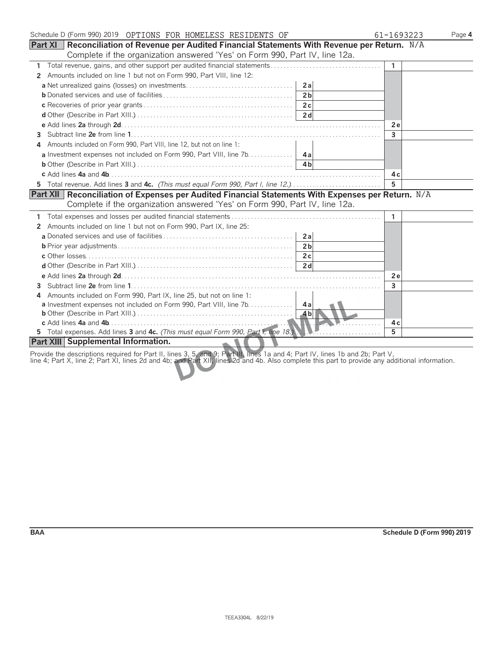| Schedule D (Form 990) 2019 OPTIONS FOR HOMELESS RESIDENTS OF                                               | 61-1693223   | Page 4 |
|------------------------------------------------------------------------------------------------------------|--------------|--------|
| <b>Part XI</b>   Reconciliation of Revenue per Audited Financial Statements With Revenue per Return. $N/A$ |              |        |
| Complete if the organization answered 'Yes' on Form 990, Part IV, line 12a.                                |              |        |
| $\mathbf{1}$                                                                                               | $\mathbf{1}$ |        |
| Amounts included on line 1 but not on Form 990, Part VIII, line 12:<br>2                                   |              |        |
| 2a                                                                                                         |              |        |
| 2 <sub>b</sub>                                                                                             |              |        |
|                                                                                                            |              |        |
|                                                                                                            |              |        |
|                                                                                                            | 2e           |        |
| 3                                                                                                          | 3            |        |
| Amounts included on Form 990, Part VIII, line 12, but not on line 1:                                       |              |        |
| a Investment expenses not included on Form 990, Part VIII, line 7b. 4a                                     |              |        |
| 4 h                                                                                                        |              |        |
|                                                                                                            | 4 c          |        |
| 5 Total revenue. Add lines 3 and 4c. (This must equal Form 990, Part I, line 12.)                          | 5            |        |
| Part XII Reconciliation of Expenses per Audited Financial Statements With Expenses per Return. N/A         |              |        |
| Complete if the organization answered 'Yes' on Form 990, Part IV, line 12a.                                |              |        |
|                                                                                                            | 1            |        |
| Amounts included on line 1 but not on Form 990, Part IX, line 25:<br>2                                     |              |        |
| 2a                                                                                                         |              |        |
| 2 <sub>b</sub>                                                                                             |              |        |
| 2c                                                                                                         |              |        |
| 2d                                                                                                         |              |        |
|                                                                                                            | 2e           |        |
| 3                                                                                                          | 3            |        |
| Amounts included on Form 990, Part IX, line 25, but not on line 1:<br>4                                    |              |        |
| <b>a</b> Investment expenses not included on Form 990, Part VIII, line 7b. 4a                              |              |        |
|                                                                                                            |              |        |
|                                                                                                            | 4 c          |        |
| 5 Total expenses. Add lines 3 and 4c. (This must equal Form 990, Part 1, line 18.)                         | 5.           |        |
| Part XIII Supplemental Information.                                                                        |              |        |

Provide the descriptions required for Part II, lines 3, 5, and 9; Part III, lines 1a and 4; Part IV, lines 1b and 2b; Part V,

line 4; Part X, line 2; Part XI, lines 2d and 4b; and Part XII, lines 2d and 4b. Also complete this part to provide any additional information.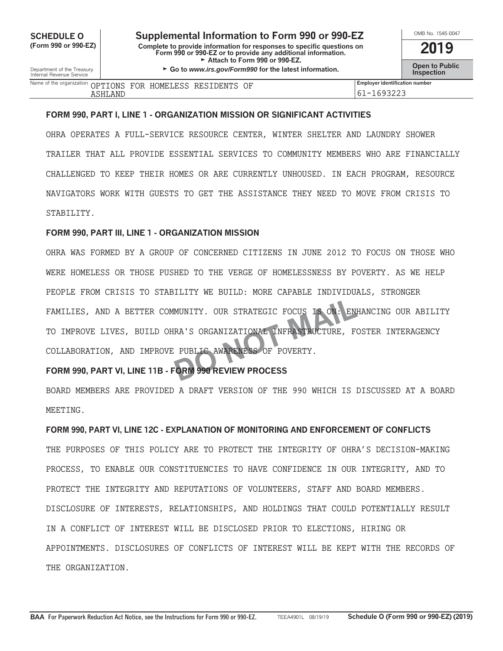Department of the Treasury<br>Internal Revenue Service

**COMB SOMB NO. 1505-0047 Supplemental Information to Form 990 or 990-EZ<br>
Complete to provide information for responses to specific questions on (Form 990 or 990-EZ) Complete to provide information for responses to specific questions on Form 990 or 990-EZ or to provide any additional information. 2019** Attach to Form 990 or 990-EZ.

**► Go to www.irs.gov/Form990 for the latest information.** 

| OMB No. 1545-0047                    |
|--------------------------------------|
| 2019                                 |
| <b>Open to Public<br/>Inspection</b> |

Name of the organization **OPTIONS** FOR HOMELESS RESIDENTS OF **Employer identification number** ASHLAND

| Linpioyer identification in |  |
|-----------------------------|--|
| 61-1693223                  |  |

#### **FORM 990, PART I, LINE 1 - ORGANIZATION MISSION OR SIGNIFICANT ACTIVITIES**

OHRA OPERATES A FULL-SERVICE RESOURCE CENTER, WINTER SHELTER AND LAUNDRY SHOWER TRAILER THAT ALL PROVIDE ESSENTIAL SERVICES TO COMMUNITY MEMBERS WHO ARE FINANCIALLY CHALLENGED TO KEEP THEIR HOMES OR ARE CURRENTLY UNHOUSED. IN EACH PROGRAM, RESOURCE NAVIGATORS WORK WITH GUESTS TO GET THE ASSISTANCE THEY NEED TO MOVE FROM CRISIS TO STABILITY.

#### **FORM 990, PART III, LINE 1 - ORGANIZATION MISSION**

OHRA WAS FORMED BY A GROUP OF CONCERNED CITIZENS IN JUNE 2012 TO FOCUS ON THOSE WHO WERE HOMELESS OR THOSE PUSHED TO THE VERGE OF HOMELESSNESS BY POVERTY. AS WE HELP PEOPLE FROM CRISIS TO STABILITY WE BUILD: MORE CAPABLE INDIVIDUALS, STRONGER FAMILIES, AND A BETTER COMMUNITY. OUR STRATEGIC FOCUS IS ON: ENHANCING OUR ABILITY TO IMPROVE LIVES, BUILD OHRA'S ORGANIZATIONAL INFRASTRUCTURE, FOSTER INTERAGENCY COLLABORATION, AND IMPROVE PUBLIC AWARENESS OF POVERTY.

### **FORM 990, PART VI, LINE 11B - FORM 990 REVIEW PROCESS**

BOARD MEMBERS ARE PROVIDED A DRAFT VERSION OF THE 990 WHICH IS DISCUSSED AT A BOARD MEETING.

**FORM 990, PART VI, LINE 12C - EXPLANATION OF MONITORING AND ENFORCEMENT OF CONFLICTS** THE PURPOSES OF THIS POLICY ARE TO PROTECT THE INTEGRITY OF OHRA'S DECISION-MAKING PROCESS, TO ENABLE OUR CONSTITUENCIES TO HAVE CONFIDENCE IN OUR INTEGRITY, AND TO PROTECT THE INTEGRITY AND REPUTATIONS OF VOLUNTEERS, STAFF AND BOARD MEMBERS. DISCLOSURE OF INTERESTS, RELATIONSHIPS, AND HOLDINGS THAT COULD POTENTIALLY RESULT IN A CONFLICT OF INTEREST WILL BE DISCLOSED PRIOR TO ELECTIONS, HIRING OR APPOINTMENTS. DISCLOSURES OF CONFLICTS OF INTEREST WILL BE KEPT WITH THE RECORDS OF THE ORGANIZATION.